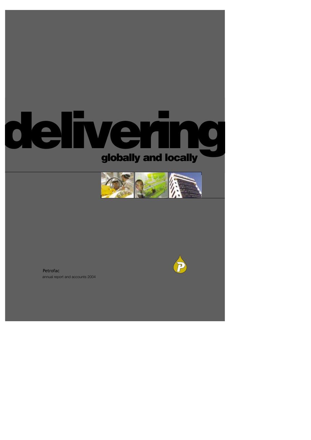# **delivering globally and locally**





annual report and accounts 2004 Petrofac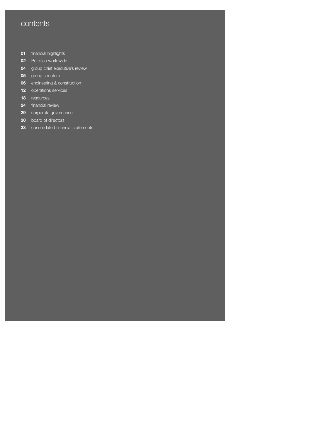# **contents**

- financial highlights
- Petrofac worldwide
- group chief executive's review
- group structure
- engineering & construction
- operations services
- resources
- financial review
- corporate governance
- board of directors
- consolidated financial statements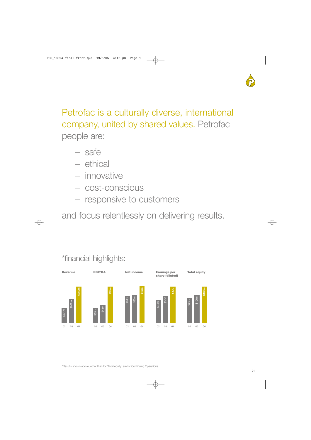

Petrofac is a culturally diverse, international company, united by shared values. Petrofac people are:

- safe
- ethical
- innovative
- cost-conscious
- responsive to customers

and focus relentlessly on delivering results.



# \*financial highlights: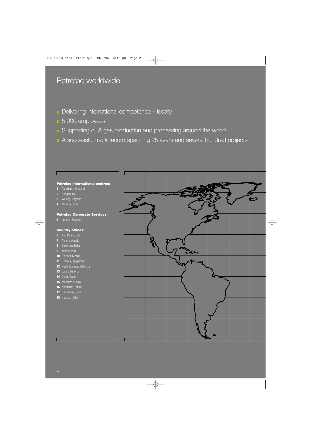# Petrofac worldwide

- **•** Delivering international competence locally
- 5,000 employees
- **B** Supporting oil & gas production and processing around the world
- A successful track record spanning 25 years and several hundred projects

### **Petrofac international centres:**

- Aberdeen, Scotland
- Sharjah, UAE
- Woking, England
- Mumbai, India

### **Petrofac Corporate Services:**

London, England

### **Country offices:**

- Abu Dhabi, UAE
- Algiers, Algeria
- Baku, Azerbaijan
- Tehran, Iran
- Ahmadi, Kuwait
- Bishkek, Kyrgyzstan
- Kuala Lumpur, Malaysia
- Lagos, Nigeria
- Doha, Qatar
- Moscow, Russia
- Khartoum, Sudan
- Damascus, Syria
- Houston, USA

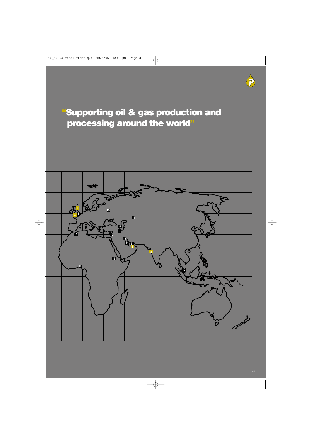# **"Supporting oil & gas production and processing around the world "**

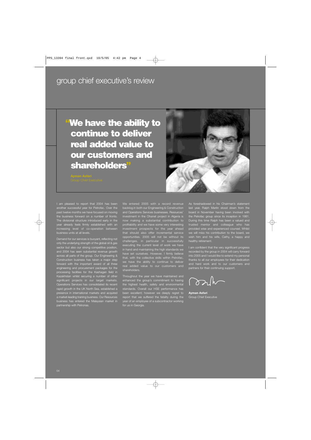# group chief executive's review

# **"We have the ability to continue to deliver real added value to our customers and shareholders"**



I am pleased to report that 2004 has been another successful year for Petrofac. Over the past twelve months we have focused on moving the business forward on a number of fronts. The divisional structure introduced early in the year already feels firmly established with an increasing level of co-operation between business units at all levels.

Demand for our services is buoyant, reflecting not only the underlying strength of the global oil & gas sector but also our strong competitive position, and 2004 has seen substantial revenue growth across all parts of the group. Our Engineering & Construction business has taken a major step forward with the important award of all three engineering and procurement packages for the processing facilities for the Kashagan field in Kazakhstan whilst securing a number of other significant projects in our target markets. Operations Services has consolidated its recent rapid growth in the UK North Sea, established a presence in international markets and acquired a market-leading training business. Our Resources business has entered the Malaysian market in partnership with Petronas.

We entered 2005 with a record revenue backlog in both our Engineering & Construction and Operations Services businesses. Resources' investment in the Ohanet project in Algeria is now making a substantial contribution to profitability and we have some very interesting investment prospects for the year ahead that should also offer incremental service opportunities. 2005 will not be without its challenges, in particular in successfully executing the current level of work we have in hand and maintaining the high standards we have set ourselves. However, I firmly believe that, with the collective skills within Petrofac, we have the ability to continue to deliver real added value to our customers and shareholders.

Throughout the year we have maintained and enhanced the group's commitment to having the highest health, safety and environmental standards. Overall our HSE performance has been excellent; however we deeply regret to report that we suffered the fatality during the year of an employee of a subcontractor working for us in Georgia.

As foreshadowed in his Chairman's statement last year, Ralph Martin stood down from the board in November having been involved with the Petrofac group since its inception in 1981. During this time Ralph has been a valued and trusted mentor and colleague who has provided wise and experienced counsel. Whilst we will miss his contribution to the board, we wish him and his wife, Cathy, a happy and healthy retirement.

I am confident that the very significant progress recorded by the group in 2004 will carry forward into 2005 and I would like to extend my personal thanks to all our employees for their dedication and hard work and to our customers and partners for their continuing support.

mark

**Ayman Asfari** Group Chief Executive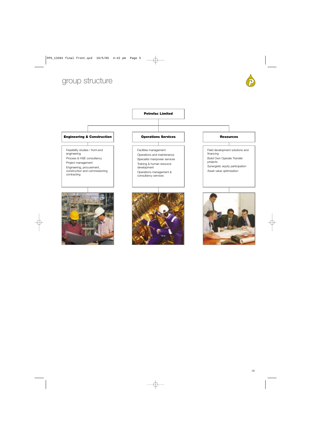# group structure



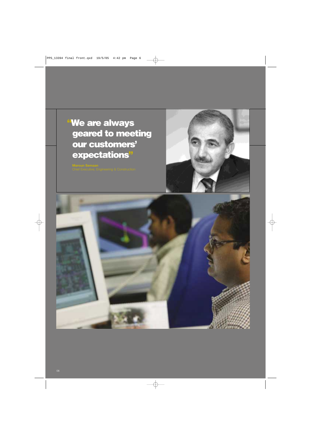# **"We are always geared to meeting our customers' expectations"**

**Maroun Semaan**



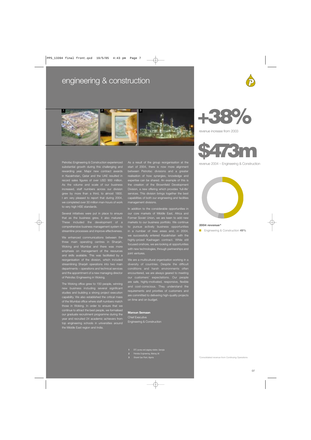# engineering & construction





Petrofac Engineering & Construction experienced substantial growth during this challenging and rewarding year. Major new contract awards in Kazakhstan, Qatar and the UAE resulted in record sales figures of over USD 900 million. As the volume and scale of our business increased, staff numbers across our divi grew by more than a third, to almost 1800. I am very pleased to report that during 2004, we completed over 30 million man-hours of work to very high HSE standards.

Several initiatives were put in place to ensure that as the business grew, it also matured. These included the development of a comprehensive business management system to streamline processes and improve effectiveness.

We enhanced communications between the three main operating centres in Sharjah, Woking and Mumbai and there was more emphasis on management of the resources and skills available. This was facilitated by a reorganisation of the division, which include streamlining Sharjah operations into two main departments – operations and technical services and the appointment of a new managing director of Petrofac Engineering in Woking.

The Woking office grew to 150 people, winning new business including several significant studies and building a strong project execution capability. We also established the critical mass of the Mumbai office where staff numbers match those in Woking. In order to ensure that we continue to attract the best people, we formalised our graduate recruitment programme during the year and recruited 24 academic achievers from top engineering schools in universities around the Middle East region and India.

As a result of the group reorganisation at the start of 2004, there is now more alignment between Petrofac divisions and a greater realisation of how synergies, knowledge and expertise can be shared. An example of this is the creation of the Brownfield Development ion, a new offering which provides 'fullservices. This division brings together the best capabilities of both our engineering and facilities management divisions.

In addition to the considerable opportunities in our core markets of Middle East, Africa and Former Soviet Union, we are keen to add new markets to our business portfolio. We continue to pursue actively business opportunities in a number of new areas and, in 2004, we successfully entered Kazakhstan with the highly-prized Kashagan contract. While still focused onshore, we are looking at opportunities with new technologies, through partnerships and joint ventures

We are a multicultural organisation working in a diversity of countries. Despite the difficult encountered, we are always geared to meeting our customers' expectations. Our people are safe, highly-motivated, responsive, flexible and cost-conscious. They understand the requirements and priorities of customers and are committed to delivering high-quality projects on time and on budget.

### **Maroun Semaan**

Chief Executive Engineering & Construction **+38%**

revenue increase from 2003



revenue 2004 – Engineering & Construction



### **2004 revenue\***

■ Engineering & Construction **49%** 

- 
- **2** Petrofac Engineering, Woking UK
- **3** Ohanet Gas Plant, Algeria

\*Consolidated revenue from Continuing Operations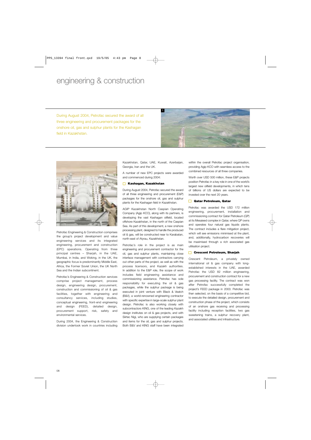# engineering & construction

During August 2004, Petrofac secured the award of all three engineering and procurement packages for the onshore oil, gas and sulphur plants for the Kashagan field in Kazakhstan.





Petrofac Engineering & Construction comprises the group's project development and value engineering services and its integrated engineering, procurement and construction (EPC) operations. Operating from three principal centres – Sharjah, in the UAE, Mumbai, in India, and Woking, in the UK, the geographic focus is predominantly Middle East, Africa, the Former Soviet Union, the UK North Sea and the Indian subcontinent.

Petrofac's Engineering & Construction services comprise project management, process design, engineering design, procurement, construction and commissioning of oil & gas facilities, together with engineering and consultancy services, including studies, conceptual engineering, front-end engineering and design (FEED), detailed design, procurement support, risk, safety and environmental services.

During 2004, the Engineering & Construction division undertook work in countries including Kazakhstan, Qatar, UAE, Kuwait, Azerbaijan, Georgia, Iran and the UK.

A number of new EPC projects were awarded and commenced during 2004:

### **Kashagan, Kazakhstan**

During August 2004, Petrofac secured the award of all three engineering and procurement (E&P) packages for the onshore oil, gas and sulphur plants for the Kashagan field in Kazakhstan.

AGIP Kazakhstan North Caspian Operating Company (Agip KCO), along with its partners, is developing the vast Kashagan oilfield, located offshore Kazakhstan, in the north of the Caspian Sea. As part of this development, a new onshore processing plant, designed to handle the produced oil & gas, will be constructed near to Karabatan, north-east of Atyrau, Kazakhstan.

Petrofac's role in the project is as main engineering and procurement contractor for the oil, gas and sulphur plants, maintaining close interface management with contractors carrying out other parts of the project, as well as with the process licensors, and Kazakh authorities. In addition to the E&P role, the scope of work includes field engineering assistance and commissioning assistance. Petrofac has sole responsibility for executing the oil & gas packages, while the sulphur package is being executed in joint venture with Black & Veatch (B&V), a world-renowned engineering contractor with specific expertise in large-scale sulphur plant design. Petrofac is also working closely with subcontractors KING, one of the leading Kazakh design institutes on oil & gas projects, and with Siirtec Nigi, who are supplying certain packages and items for the oil, gas and sulphur projects. Both B&V and KING staff have been integrated

within the overall Petrofac project organisation, providing Agip KCO with seamless access to the combined resources of all three companies.

Worth over USD 500 million, these E&P projects position Petrofac in a key role in one of the world's largest new oilfield developments, in which tens of billions of US dollars are expected to be invested over the next 20 years.

### **Qatar Petroleum, Qatar**

Petrofac was awarded the USD 172 million engineering, procurement, installation and commissioning contract for Qatar Petroleum (QP) at its Mesaieed complex in Qatar, where QP owns and operates four natural gas liquids plants. The contract includes a flare mitigation project, which will see emissions minimised at the plant, and, additionally, hydrocarbon recoveries will be maximised through a rich associated gas utilisation project.

### **Crescent Petroleum, Sharjah**

Crescent Petroleum, a privately owned international oil & gas company with longestablished interests in the UAE, awarded Petrofac the USD 82 million engineering, procurement and construction contract for a new gas processing facility. The contract was won after Petrofac successfully completed the project's FEED package in 2003. Petrofac was then selected, on the basis of a competitive bid, to execute the detailed design, procurement and construction phase of the project, which consists of an onshore gas receiving and processing facility including reception facilities, two gas sweetening trains, a sulphur recovery plant, and associated utilities and infrastructure.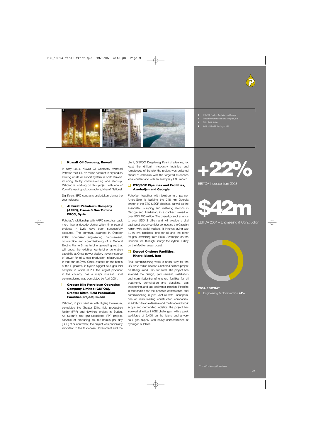



- **1** BTC/SCP Pipeline, Azerbaijan and Georgia
- **2** Dorood onshore facilities and new plant, Iran
- **3** Diffra Field, Sudan
- **4** Artificial Island A, Kashagan field

### **Kuwait Oil Company, Kuwait**

In early 2004, Kuwait Oil Company awarded Petrofac the USD 52 million contract to expand an existing crude oil export system in north Kuwait, including facility commissioning and start-up. Petrofac is working on this project with one of Kuwait's leading subcontractors, Kharafi National.

Significant EPC contracts undertaken during the year included:

### **Al Furat Petroleum Company (AFPC), Frame 6 Gas Turbine EPCC, Syria**

Petrofac's relationship with AFPC stretches back more than a decade during which time several projects in Syria have been successfully executed. The contract, awarded in October 2002, comprised engineering, procurement, construction and commissioning of a General Electric Frame 6 gas turbine generating set that will boost the existing four-turbine generation capability at Omar power station, the only source of power for oil & gas production infrastructure in that part of Syria. Omar, situated on the banks of the Euphrates, is Syria's biggest oil & gas field complex in which AFPC, the largest producer in the country, has a major interest. Final commissioning was completed by April 2004.

### **Greater Nile Petroleum Operating Company Limited (GNPOC), Greater Diffra Field Production Facilities project, Sudan**

Petrofac, in joint venture with Higleig Petroleum, completed the Greater Diffra field production facility (FPF) and flowlines project in Sudan. As Sudan's first gas-associated FPF project, capable of producing 40,000 barrels per day (BPD) of oil equivalent, the project was particularly important to the Sudanese Government and the

client, GNPOC. Despite significant challenges, not least the difficult in-country logistics and remoteness of the site, the project was delivered ahead of schedule with the targeted Sudanese local content and with an exemplary HSE record.

### **BTC/SCP Pipelines and Facilities, Azerbaijan and Georgia**

Petrofac, together with joint-venture partner Amec-Spie, is building the 248 km Georgia stretch of the BTC & SCP pipelines, as well as the associated pumping and metering stations in Georgia and Azerbaijan, in a contract valued at over USD 700 million. The overall project extends to over USD 3 billion and will provide a vital east-west energy corridor connecting the Caspian region with world markets. It involves laying two 1,760 km pipelines, one for oil and the other for gas, stretching from Baku, Azerbaijan on the Caspian Sea, through Georgia to Ceyhan, Turkey on the Mediterranean coast.

### **Dorood Onshore Facilities, Kharg Island, Iran**

Final commissioning work is under way for the USD 265 million Dorood Onshore Facilities project on Kharg Island, Iran, for Total. The project has involved the design, procurement, installation and commissioning of onshore facilities for oil treatment, dehydration and desalting, gas sweetening, and gas and water injection. Petrofac is responsible for the onshore construction and commissioning in joint venture with Jahanpars, one of Iran's leading construction companies. In addition to an extensive and multi-faceted work scope and demanding logistics, the project has involved significant HSE challenges, with a peak workforce of 2,400 on the island and a very sour gas supply with heavy concentrations of hydrogen sulphide.



EBITDA increase from 2003



EBITDA 2004 – Engineering & Construction



# **2004 EBITDA\***

■ Engineering & Construction **44%**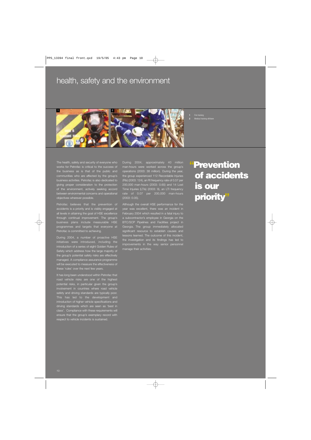# health, safety and the environment



**1** Fire training **2** Medical training offshore

The health, safety and security of everyone who works for Petrofac is critical to the success of the business as is that of the public and communities who are affected by the group's business activities. Petrofac is also dedicated to ing proper consideration to the protection the environment, actively seeking accord between environmental concerns and operational objectives wherever possible.

Petrofac believes that the prevention of accidents is a priority and is visibly engaged at all levels in attaining the goal of HSE excellence through continual improvement. The group's programmes and targets that everyone at Petrofac is committed to achieving.

During 2004, a number of proactive HSE initiatives were introduced, including the introduction of a series of eight Golden Rules of Safety which address how the large majority of the group's potential safety risks are effectively managed. A compliance assurance programme Il be executed to measure the effectiveness of these 'rules' over the next few years.

It has long been understood within Petrofac that road vehicle risks are one of the highest potential risks, in particular given the group's involvement in countries where road vehicle fety and driving standards are typica This has led to the development and introduction of higher vehicle specifications and driving standards which are seen as 'best in class'. Compliance with these requirements will ensure that the group's exemplary record with respect to vehicle incidents is sustained.

During 2004, approximately 40 million man-hours were worked across the group's operations (2003: 38 million). During the year, the group experienced 112 Recordable Injuries (RIs) (2003: 124), an RI frequency rate of 0.57 per 200,000 man-hours (2003: 0.65) and 14 Lost Time Injuries (LTIs) (2003: 9), an LTI frequency rate of 0.07 per 200,000 man-hours (2003: 0.05).

Although the overall HSE performance for the year was excellent, there was an incident in February 2004 which resulted in a fatal injury to a subcontractor's employee in Georgia on the BTC/SCP Pipelines and Facilities proj Georgia. The group immediately allocated significant resource to establish causes and lessons learned. The outcome of this incident, the investigation and its findings has led to improvements in the way senior personnel manage their activities.

# **"Prevention of accidents is our priority"**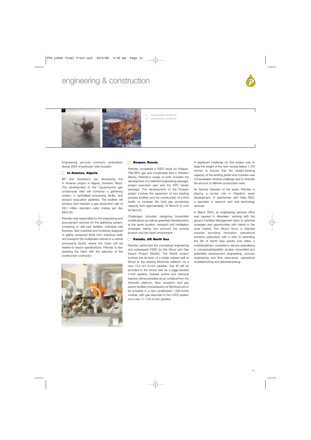# engineering & construction





**1** Montrose platform, UK North Sea **2** Arbroath platform, UK North Sea

Engineering services contracts undertaken during 2004 of particular note included:

### **In Amenas, Algeria**

BP and Sonatrach are developing the In Amenas project in Algeria, Northern Africa. The development of the Tiguentourine gas condensate field will comprise a gathering system, a centralised processing facility, and product evacuation pipelines. The facilities will produce and maintain a gas production rate of 28.2 million standard cubic metres per day (Mcm/D).

Petrofac was responsible for the engineering and procurement services for the gathering system, consisting of well pad facilities, individual well flowlines, field manifolds and trunklines designed to gather produced fluids from individual wells and transport the multiphase mixture to a central processing facility where the fluids will be treated to export specifications. Petrofac is also assisting the client with the selection of the construction contractor.



### **Rospan, Russia**

Petrofac completed a FEED study for Rospan, TNK-BP's gas and condensate field in Western Siberia. Petrofac's scope of work included the development of a definitive engineering package, project execution plan and the EPC tender package. The development of the Rospan project involves the expansion of two existing process facilities and the construction of a third facility to increase the total gas processing capacity from approximately 10 Mcm/D to over 50 Mcm/D.

Challenges included designing brownfield modifications as well as greenfield developments at the same location, transport and installation strategies taking into account the remote location and the harsh environment.

### **Paladin, UK North Sea**

Petrofac performed the conceptual engineering and subsequent FEED for the Wood and Gas Export Project (WaGE). The WaGE project involves the tie-back of a single subsea well at Wood to the existing Montrose platform via a new 10.4 km 6-inch pipeline. Gas lift will be provided to the Wood well via a piggy-backed 2-inch pipeline. Subsea control and chemical injection will be provided via an umbilical from the Arbroath platform. New reception and gas export facilities (compression) at Montrose are to be provided in a new cantilevered 1,000-tonne module, with gas exported to the CATS system via a new 11.1 km 6-inch pipeline.

A significant challenge for this project was to keep the weight of the new module below 1,100 tonnes to ensure that the weight-bearing capacity of the existing jacket and modules was not exceeded. Another challenge was to minimise the amount of offshore construction work.

As Service Operator of the asset, Petrofac is playing a pivotal role in Paladin's asset development, in partnership with Helix RDS, a specialist in reservoir and well technology services.

In March 2004, an engineering services office was opened in Aberdeen, working with the group's Facilities Management team to optimise synergies and opportunities with clients in the local market. The office's focus is directed towards providing innovative operational solutions particularly with a view to extending the life of North Sea assets and offers a multidisciplinary consultancy service specialising in conceptual/feasibility studies, brownfield and greenfield development engineering, process engineering and flow assurance, operational troubleshooting and debottlenecking.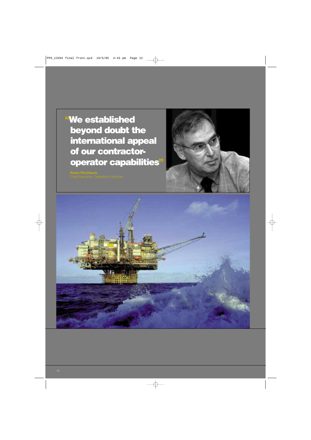**"We established beyond doubt the international appeal of our contractoroperator capabilities"**



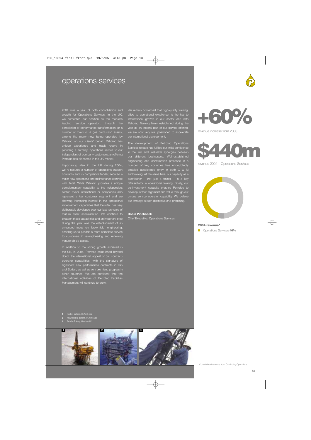# operations services

2004 was a year of both consolidation and growth for Operations Services. In the UK, we cemented our position as the market's leading 'service operator', through the completion of performance transformation on a number of major oil & gas production assets, among the many now being operated by fac on our clients' behalf. Petrofac has unique experience and track record in providing a 'turnkey' operations service to our independent oil company customers, an offering Petrofac has pioneered in the UK market.

Importantly, also in the UK during 2004, we re-secured a number of operations support contracts and, in competitive tender, secured a major new operations and maintenance contract with Total. While Petrofac provides a unique complementary capability to the independent sector, major international oil companies also represent a key customer segment and are showing increasing interest in the operational improvement capabilities that Petrofac has erately developed over our last ten years of mature asset specialisation. We continue to broaden these capabilities and an important step during the year was the establishment of an enhanced focus on 'brownfield' engineering, enabling us to provide a more complete service to customers in re-engineering and renewing mature oilfield assets.

In addition to the strong growth achieved in the UK, in 2004, Petrofac established beyond doubt the international appeal of our contractoperator capabilities, with the signature of significant new performance contracts in Iran and Sudan, as well as very promising progress in other countries. We are confident that the international activities of Petrofac Facilities Management will continue to grow.

We remain convinced that high-quality training, allied to operational excellence, is the key to international growth in our sector and with Petrofac Training firmly established during the year as an integral part of our service offering, we are now very well positioned to accelerate our international development.

The development of Petrofac Operations Services to date has fulfilled our initial confidence in the real and realisable synergies between our different businesses. Well-established engineering and construction presence in a number of key countries has undoubtedly enabled accelerated entry in both O & M and training. At the same time, our capacity as a practitioner – not just a trainer – is a key differentiator in operational training. Finally, our co-investment capacity enables Petrofac to develop further alignment and value through our unique service operator capability. We believe our strategy is both distinctive and promising.

### **Robin Pinchbeck**

Chief Executive, Operations Services



revenue increase from 2003



revenue 2004 – Operations Services



### **2004 revenue\***

■ Operations Services **46%**

**1** Heather platform, UK North Sea

### **2** Alwyn North B platform, UK North Sea

**3** Petrofac Training, Aberdeen UK

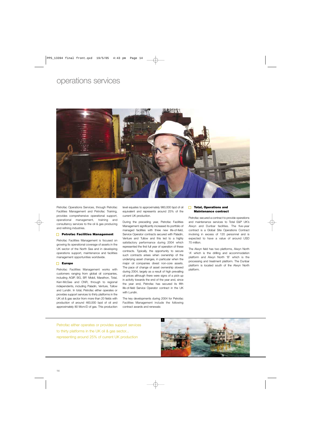# operations services



Petrofac Operations Services, through Petrofac Facilities Management and Petrofac Training, provides comprehensive operational support, operational management, training and consultancy services to the oil & gas producing and refining industries.

### **Petrofac Facilities Management**

Petrofac Facilities Management is focused on growing its operational coverage of assets in the UK sector of the North Sea and in developing operations support, maintenance and facilities management opportunities worldwide.

### **Europe**

Petrofac Facilities Management works with customers ranging from global oil companies, including AGIP, BG, BP, Mobil, Marathon, Total, Kerr-McGee and CNR, through to regional independents, including Paladin, Venture, Tullow and Lundin. In total, Petrofac either operates or provides support services to thirty platforms in the UK oil & gas sector from more than 20 fields with production of around 460,000 bpd of oil and approximately 80 Mcm/D of gas. This production level equates to approximately 960,000 bpd of oil equivalent and represents around 25% of the current UK production.

During the preceding year, Petrofac Facilities Management significantly increased its portfolio of managed facilities with three new life-of-field, Service Operator contracts secured with Paladin, Venture and Tullow and this led to a highly satisfactory performance during 2004 which represented the first full year of operation of these contracts. Typically, the opportunity to secure such contracts arises when ownership of the underlying asset changes, in particular when the major oil companies divest non-core assets. The pace of change of asset ownership slowed during 2004, largely as a result of high prevailing oil prices although there were signs of a pick-up in activity towards the end of the year and, since the year end, Petrofac has secured its fifth life-of-field Service Operator contract in the UK with Lundin.

The key developments during 2004 for Petrofac Facilities Management include the following contract awards and renewals:

### $\Box$ **Total, Operations and Maintenance contract**

Petrofac secured a contract to provide operations and maintenance services to Total E&P UK's Alwyn and Dunbar facilities. The five-year contract is a Global Site Operations Contract involving in excess of 120 personnel and is expected to have a value of around USD 70 million.

The Alwyn field has two platforms, Alwyn North 'A' which is the drilling and accommodation platform and Alwyn North 'B' which is the processing and treatment platform. The Dunbar platform is located south of the Alwyn North platform.

Petrofac either operates or provides support services to thirty platforms in the UK oil & gas sector... representing around 25% of current UK production

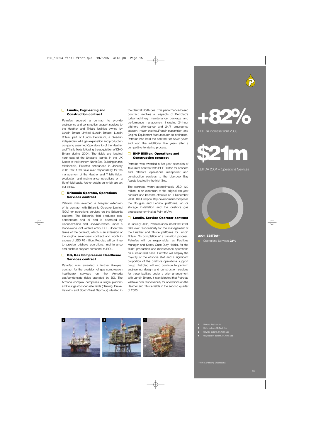### **Lundin, Engineering and Construction contract**

Petrofac secured a contract to provide engineering and construction support services to the Heather and Thistle facilities owned by Lundin Britain Limited (Lundin Britain). Lundin Britain, part of Lundin Petroleum, a Swedish independent oil & gas exploration and production company, assumed Operatorship of the Heather and Thistle fields following the acquisition of DNO Britain during 2004. The fields are located north-east of the Shetland Islands in the UK Sector of the Northern North Sea. Building on this relationship, Petrofac announced in January 2005 that it will take over responsibility for the management of the Heather and Thistle fields' production and maintenance operations on a life-of-field basis, further details on which are set out below.

### **Britannia Operator, Operations Services contract**

Petrofac was awarded a five-year extension of its contract with Britannia Operator Limited (BOL) for operations services on the Britannia platform. The Britannia field produces gas, condensate and oil and is operated by ConocoPhillips and ChevronTexaco under a stand-alone joint venture entity, BOL. Under the terms of the contract, which is an extension of the original seven-year contract and worth in excess of USD 70 million, Petrofac will continue to provide offshore operations, maintenance and onshore support personnel to BOL.

### **BG, Gas Compression Healthcare Services contract**

Petrofac was awarded a further five-year contract for the provision of gas compression healthcare services on the Armada gas/condensate fields operated by BG. The Armada complex comprises a single platform and four gas/condensate fields (Fleming, Drake, Hawkins and South-West Seymour) situated in

the Central North Sea. This performance-based contract involves all aspects of Petrofac's turbomachinery maintenance package and performance management, including 24-hour offshore attendance and 24/7 emergency support, major overhaul/repair supervision and Original Equipment Manufacturer co-ordination. Petrofac had held the contract for seven years and won the additional five years after a competitive tendering process.

### **BHP Billiton, Operations and Construction contract**

Petrofac was awarded a five-year extension of its current contract with BHP Billiton for onshore and offshore operations manpower and construction services to the Liverpool Bay Assets located in the Irish Sea.

The contract, worth approximately USD 120 million, is an extension of the original ten-year contract and became effective on 1 December 2004. The Liverpool Bay development comprises the Douglas and Lennox platforms, an oil storage installation and the onshore gas processing terminal at Point of Ayr.

### **Lundin, Service Operator contract**

In January 2005, Petrofac announced that it will take over responsibility for the management of the Heather and Thistle platforms for Lundin Britain. On completion of a transition process, Petrofac will be responsible, as Facilities Manager and Safety Case Duty Holder, for the fields' production and maintenance operations on a life-of-field basis. Petrofac will employ the majority of the offshore staff and a significant proportion of the onshore operations support group. Petrofac will also continue to perform engineering design and construction services for these facilities under a prior arrangement with Lundin Britain. It is anticipated that Petrofac will take over responsibility for operations on the Heather and Thistle fields in the second quarter of 2005.



EBITDA increase from 2003



EBITDA 2004 – Operations Services



**2004 EBITDA\*** ■ Operations Services **22%** 



\*From Continuing Operations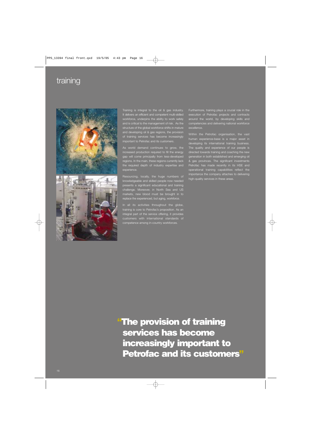# training





Training is integral to the oil & gas industry. It delivers an efficient and competent multi-skilled workforce, underpins the ability to work safely and is critical to the management of risk. As the structure of the global workforce shifts in mature and developing oil & gas regions, the provision of training services has become increasingly important to Petrofac and its customers.

As world demand continues to grow, the increased production required to fill the energy gap will come principally from less-developed regions. In the main, these regions currently lack the required depth of industry expertise and experience.

Resourcing, locally, the huge numbers of knowledgeable and skilled people now needed presents a significant educational and training challenge. Moreover, in North Sea and US markets, new blood must be brought in to replace the experienced, but aging, workforce.

In all its activities throughout the globe, training is core to Petrofac's proposition. As an integral part of the service offering, it prov competence among in-country workforces.

Furthermore, training plays a crucial role in the execution of Petrofac projects and contracts around the world, by developing skills and competencies and delivering national workforce excellence.

Within the Petrofac organisation, the vast human experience-base is a major asset in developing its international training busine The quality and experience of our people is directed towards training and coaching the new generation in both established and emerging oil & gas provinces. The significant investments Petrofac has made recently in its HSE and operational training capabilities reflect the importance the company attaches to delivering high-quality services in these areas.

**"The provision of training services has become increasingly important to Petrofac and its customers"**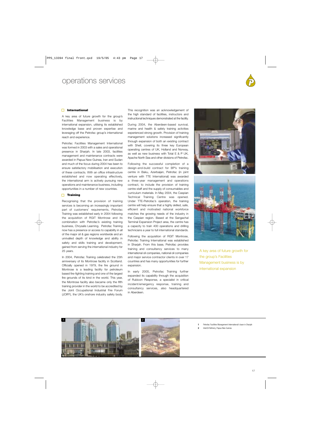# operations services



### **International**

A key area of future growth for the group's Facilities Management business is by international expansion, utilising its established knowledge base and proven expertise and leveraging off the Petrofac group's international reach and experience.

Petrofac Facilities Management International was formed in 2003 with a sales and operational presence in Sharjah. In late 2003, facilities management and maintenance contracts were awarded in Papua New Guinea, Iran and Sudan and much of the focus during 2004 has been to ensure satisfactory mobilisation and execution of these contracts. With an office infrastructure established and now operating effectively, the international arm is actively pursuing new operations and maintenance business, including opportunities in a number of new countries.

### **Training**

Recognising that the provision of training services is becoming an increasingly important part of customers' requirements, Petrofac Training was established early in 2004 following the acquisition of RGIT Montrose and its combination with Petrofac's existing training business, Chrysalis Learning. Petrofac Training now has a presence or access to capability in all of the major oil & gas regions worldwide and an unrivalled depth of knowledge and ability in safety and skills training and development, gained from serving the international industry for 25 years.

In 2004, Petrofac Training celebrated the 25th anniversary of its Montrose facility in Scotland. Officially opened in 1979, the fire ground in Montrose is a leading facility for petroleum based fire-fighting training and one of the largest fire grounds of its kind in the world. This year, the Montrose facility also became only the fifth training provider in the world to be accredited by the Joint Occupational Industrial Fire Forum (JOIFF), the UK's onshore industry safety body.

This recognition was an acknowledgement of the high standard of facilities, instructors and instructional techniques demonstrated at the facility.

During 2004, the Aberdeen-based survival, marine and health & safety training activities experienced strong growth. Provision of training management solutions increased significantly through expansion of both an existing contract with Shell, covering its three key European operating centres of UK, Holland and Norway, as well as new business with Total E & P UK, Apache North Sea and other divisions of Petrofac.

Following the successful completion of a design-and-build contract for BP's training centre in Baku, Azerbaijan, Petrofac (in joint venture with TTE International) was awarded a three-year management and operations contract, to include the provision of training centre staff and the supply of consumables and curriculum materials. In May 2004, the Caspian Technical Training Centre was opened. Under TTE-Petrofac's operation, the training centre will help ensure that a highly skilled, safe, efficient and motivated national workforce matches the growing needs of the industry in the Caspian region. Based at the Sangachal Terminal Expansion Project area, the centre has a capacity to train 400 operations and drilling technicians a year to full international standards.

Following the acquisition of RGIT Montrose, Petrofac Training International was established in Sharjah. From this base, Petrofac provides training and consultancy services to many international oil companies, national oil companies and major service contractor clients in over 17 countries and has many opportunities for further expansion.

In early 2005, Petrofac Training further expanded its capability through the acquisition of Rubicon Response, a specialist in critical incident/emergency response, training and consultancy services, also headquartered in Aberdeen.





A key area of future growth for the group's Facilities Management business is by international expansion



- **1** Petrofac Facilities Management International's base in Sharjah
- **2** InterOil Refinery, Papua New Guinea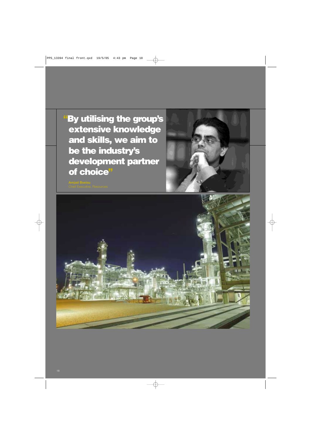**"By utilising the group's extensive knowledge and skills, we aim to be the industry's development partner of choice"**



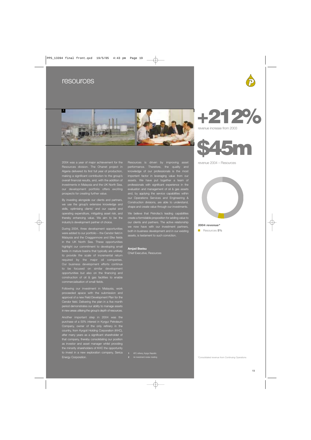# resources





2004 was a year of major achievement for the Resources division. The Ohanet project in Algeria delivered its first full year of production, making a significant contribution to the group's overall financial results, and, with the addition of investments in Malaysia and the UK North Sea, our development portfolio offers exciting prospects for creating further value.

By investing alongside our clients and partners, we use the group's extensive knowledge and skills, optimising clients' and our capital and operating expenditure, mitigating asset risk, and thereby enhancing value. We aim to be the industry's development partner of choice.

During 2004, three development opportunities were added to our portfolio – the Cendor field in Malaysia and the Cragganmore and Elke fields in the UK North Sea. These opportunities highlight our commitment to developing small fields in mature basins that typically are unlikely to provide the scale of incremental return required by the major oil companies. Our business development efforts continue to be focused on similar development opportunities but also on the financing and construction of oil & gas facilities to enable commercialisation of small fields.

Following our investment in Malaysia, work proceeded apace with the submission and approval of a new Field Development Plan for the Cendor field. Delivering the plan in a five month period demonstrates our ability to manage assets in new areas utilising the group's depth of resources.

Another important step in 2004 was the purchase of a 50% interest in Kyrgyz Petroleum Company, owner of the only refinery in the country, from Kyrgoil Holding Corporation (KHC), after many years as a significant shareholder of that company, thereby consolidating our position as investor and asset manager whilst providing the minority shareholders of KHC the opportunity to invest in a new exploration company, Serica Energy Corporation.

Resources is driven by improving asset performance. Therefore, the quality and knowledge of our professionals is the most important factor in leveraging value from our assets. We have put together a team of professionals with significant experience in the evaluation and management of oil & gas as and, by applying the service capabilities within our Operations Services and Engineering & Construction divisions, are able to understand, shape and create value through our investments.

We believe that Petrofac's leading capabilities create a formidable proposition for adding value to our clients and partners. The active relationship both in business development and in our existing assets, is testament to such conviction.

### **Amjad Bseisu**

Chief Executive, Resources





revenue 2004 – Resources

**2004 revenue\***

■ Resources **5%**

**1** KPC refinery, Kyrgyz Republic **2** An investment review meeting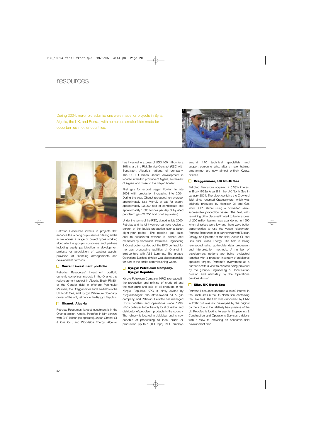# resources

During 2004, major bid submissions were made for projects in Syria, Algeria, the UK, and Russia, with numerous smaller bids made for opportunities in other countries.





Petrofac Resources invests in projects that enhance the wider group's service offering and is active across a range of project types working alongside the group's customers and partners including equity participation in development projects or acquisition of existing assets, provision of financing arrangements and development 'farm-ins'.

### **Current investment portfolio**

Petrofac Resources' investment portfolio currently comprises interests in the Ohanet gas redevelopment project in Algeria, Block PM304 of the Cendor field in offshore Peninsular Malaysia, the Cragganmore and Elke fields in the UK North Sea, and Kyrgyz Petroleum Company, owner of the only refinery in the Kyrgyz Republic.

### **Ohanet, Algeria**

Petrofac Resources' largest investment is in the Ohanet project, Algeria. Petrofac, in joint venture with BHP Billiton (as operator), Japan Ohanet Oil & Gas Co., and Woodside Energy (Algeria),

has invested in excess of USD 100 million for a 10% share in a Risk Service Contract (RSC) with Sonatrach, Algeria's national oil company. The USD 1 billion Ohanet development is located in the Illizi province of Algeria, south-east of Algiers and close to the Libyan border.

First gas for export began flowing in late 2003 with production increasing into 2004. During the year, Ohanet produced, on average, approximately 13.5 Mcm/D of gas for export, approximately 23,900 bpd of condensate and approximately 1,800 tonnes per day of liquefied petroleum gas (21,200 bpd of oil equivalent).

Under the terms of the RSC, signed in July 2000, Petrofac and its joint-venture partners receive a portion of the liquids production over a target eight-year period. The pipeline gas sales and its associated revenue is owned and marketed by Sonatrach. Petrofac's Engineering & Construction carried out the EPC contract for the gas processing facilities at Ohanet in joint-venture with ABB Lummus. The group's Operations Services division was also responsible for part of the onsite commissioning works.

### **Kyrgyz Petroleum Company, Kyrgyz Republic**

Kyrgyz Petroleum Company (KPC) is engaged in the production and refining of crude oil and the marketing and sale of oil products in the Kyrgyz Republic. KPC is jointly owned by Kyrgyzneftegaz, the state-owned oil & gas company, and Petrofac. Petrofac has managed KPC's facilities and operations since 1998. KPC continues to be the only local oil refiner and distributor of petroleum products in the country. The refinery is located in Jalalabat and is now capable of processing all local crude oil production (up to 10,000 bpd). KPC employs around 170 technical specialists and support personnel who, after a major training programme, are now almost entirely Kyrgyz citizens.

### **Cragganmore, UK North Sea**

Petrofac Resources acquired a 5.58% interest in Block 9/28a Area B in the UK North Sea in January 2004. The block contains the Crawford field, since renamed Cragganmore, which was originally produced by Hamilton Oil and Gas (now BHP Billiton) using a converted semisubmersible production vessel. The field, with remaining oil in place estimated to be in excess of 200 million barrels, was abandoned in 1990 when oil prices were low and there were better opportunities to use the vessel elsewhere. Petrofac Resources is in partnership with Tuscan Energy, as Operator of the field, Acorn Oil and Gas and Stratic Energy. The field is being re-mapped using up-to-date data processing and interpretation methods. A number of development options are being evaluated together with a prospect inventory of additional appraisal targets. Petrofac's involvement as a partner is with a view to services being provided by the group's Engineering & Construction division and ultimately by the Operations Services division.

### **Elke, UK North Sea**

Petrofac Resources acquired a 100% interest in the Block 28/3 in the UK North Sea, containing the Elke field. The field was discovered by OMV in 2002 but was not developed by the original partners due to the relatively heavy nature of the oil. Petrofac is looking to use its Engineering & Construction and Operations Services divisions with a view to providing an economic field development plan.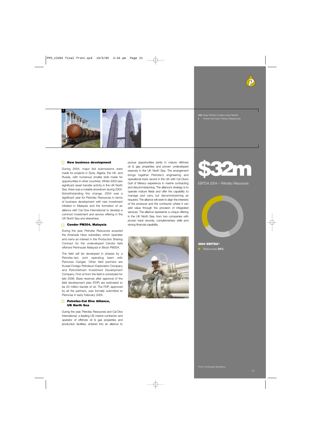



### **1 & 2** Kyrgyz Petroleum Company, Kyrgyz Republic **3** Petronas Twin Towers, Petrofac's Malaysia base

### **New business development**

During 2004, major bid submissions were made for projects in Syria, Algeria, the UK, and Russia, with numerous smaller bids made for opportunities in other countries. Whilst 2003 saw significant asset transfer activity in the UK North Sea, there was a notable slowdown during 2004. Notwithstanding this change, 2004 was a significant year for Petrofac Resources in terms of business development with new investment initiated in Malaysia and the formation of an alliance with Cal Dive International to develop a common investment and service offering in the UK North Sea and elsewhere.

### **Cendor PM304, Malaysia**

During the year, Petrofac Resources acquired the Amerada Hess subsidiary which operates and owns an interest in the Production Sharing Contract for the undeveloped Cendor field offshore Peninsular Malaysia in Block PM304.

The field will be developed in phases by a Petrofac-led, joint operating team with Petronas Carigali. Other field partners are Kuwait Foreign Petroleum Exploration Company and PetroVietnam Investment Development Company. First oil from the field is scheduled for late 2006. Base reserves after approval of the field development plan (FDP) are estimated to be 20 million barrels of oil. The FDP, approved by all the partners, was formally submitted to Petronas in early February 2005.

### **Petrofac-Cal Dive Alliance, UK North Sea**

During the year, Petrofac Resources and Cal Dive International, a leading US marine contractor and operator of offshore oil & gas properties and production facilities, entered into an alliance to pursue opportunities jointly in mature offshore oil & gas properties and proven undeveloped reserves in the UK North Sea. The arrangement brings together Petrofac's engineering and operational track record in the UK with Cal Dive's Gulf of Mexico experience in marine contracting and decommissioning. The alliance's strategy is to operate mature fields and offer the capability to manage and carry out decommissioning as required. The alliance will seek to align the interests of the producer and the contractor where it can add value through the provision of integrated services. The alliance represents a unique offering in the UK North Sea, from two companies with proven track records, complementary skills and strong financial capability.





EBITDA 2004 – Petrofac Resources



**2004 EBITDA\*** ■ Resources **34%**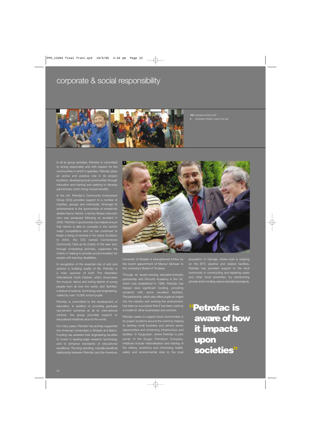# corporate & social responsibility



**1 & 2** Computers for Africa 2004

In all its group activities, Petrofac is committed to acting responsibly and with respect for the communities in which it operates. Petrofac plays an active and positive role in its project locations, developing local communities through education and training and seeking to develop partnerships which bring mutual benefits.

In the UK, Petrofac's Community Involvement Group (CIG) provides support to a number of charities, groups and individuals. Amongst its achievements is the sponsorship of wheelchair athlete Kenny Herriot, a former fitness instructor who was paralysed following an accident in 00. Petrofac's sponsorship has helped ensure that Herriot is able to compete in the world's major competitions and he has continued to break a string of records in his native Scotland. In 2004, the CIG named Cornerstone Community Care as its charity of the year and, through fundraising activities, supported the charity in helping to provide accommodation for people with learning disabilities

In recognition of the essential role of arts and science in building quality of life, Petrofac is a main sponsor of both The Aberdeen International Youth Festival, which showcases the musical, dance and acting talents of young people from all over the world, and Techfest, stival of science, technology and engineering, visited by over 10,000 school pupils.

Petrofac is committed to the development of education. In addition to providing graduate centres, the group provides support to educational initiatives around the world.

For many years, Petrofac has actively supported the American Universities in Sharjah and Beirut. Funding has assisted their engineering faculties to invest in leading-edge research technology excellence. The long-standing, mutually beneficial relationship between Petrofac and the American



University of Sharjah is strengthened further by the recent appointment of Maroun Semaan to the university's Board of Trustees.

Through an award-winning education/industry partnership with Kincorth Academy in the UK, which was established in 1998, Petrofac has helped raise significant funding, providing students with some excellent facilities. The partnership, which also offers pupils an insight into the industry and working the environment, has been so successful that it has been used as a model for other businesses and schools.

Petrofac seeks to support local communities in its project locations around the world by helping to develop small business and service sector opportunities and enhancing infrastructure and cilities. In Kyrgyzstan, where Petrofac is joint owner of the Kyrgyz Petroleum Company, initiatives include nationalisation and training of the refinery workforce and minimising health, safety and environmental risks to the local

population. In Georgia, where work is ongoing on the BTC pipeline and related facilities etrofac has provided support to the local community in constructing and repairing roads and other local amenities, by refurbishing schools and in funding various educational projects.

**"Petrofac is aware of how it impacts upon societies"**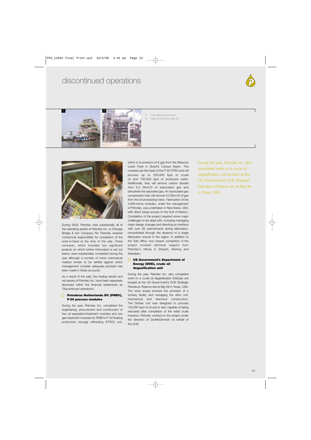# discontinued operations





**1** P-50 modules set sail for Brazil **2** DeGas unit, Big Hill site, Texas, USA



During 2003, Petrofac sold substantially all of the operating assets of Petrofac Inc. to Chicago Bridge & Iron Company NV. Petrofac retained contractual responsibility for completion of the work-in-hand at the time of the sale. These contracts, which included two significant projects on which further information is set out below, were substantially completed during the year although a number of minor commercial matters remain to be settled against which management consider adequate provision has been made in these accounts.

As a result of the sale, the trading results and net assets of Petrofac Inc. have been separately disclosed within the financial statements as 'Discontinued operations'.

### П. **Petrobras Netherlands BV (PNBV), P-50 process modules**

During the year, Petrofac Inc. completed the engineering, procurement and construction of two oil separation/treatment modules and two gas treatment modules for PNBV's P-50 floating production storage offloading (FPSO) unit,

which is to produce oil & gas from the Albacora Leste Field in Brazil's Campo Basin. The modules are the heart of the P-50 FPSO and will process up to 200,000 bpd of crude oil and 100,000 bpd of produced water. Additionally, they will remove carbon dioxide from 6.2 Mcm/D of associated gas and dehydrate the saturated gas. An associated gas compression train will recover 0.2 Mcm/D of gas from the oil processing trains. Fabrication of the 4,000-tonne modules, under the management of Petrofac, was undertaken in New Iberia, USA, with direct barge access to the Gulf of Mexico. Completion of the project required some major challenges to be dealt with, including managing major design changes and directing an interface with over 28 subcontracts during fabrication, necessitated through the absence of a single fabrication source in the region. In addition to the Tyler office, now closed, completion of the project involved technical support from Petrofac's offices in Sharjah, Woking and Aberdeen.

### **US Government's Department of Energy (DOE), crude oil degasification unit**

During the year, Petrofac Inc. also completed work on a crude oil degasification (DeGas) unit located at the US Government's DOE Strategic Petroleum Reserve site at Big Hill in Texas, USA. The work scope involved the provision of a turnkey facility and managing the site's civil, mechanical and electrical construction. The DeGas unit was designed to process 125,000 bpd of oil and is also capable of being relocated after completion of the initial crude inventory. Petrofac worked on the project under the direction of DynMcDermott on behalf of the DOE.

During the year, Petrofac Inc. also completed work on a crude oil degasification unit located at the US Government's DOE Strategic Petroleum Reserve site at Big Hill in Texas, USA.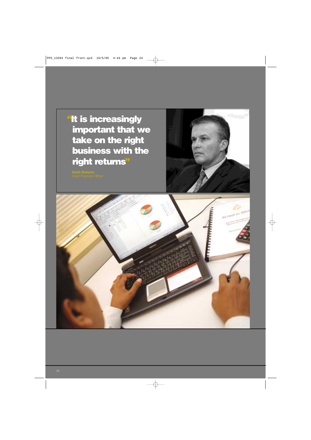**"It is increasingly important that we take on the right business with the right returns"**

**Keith Roberts**



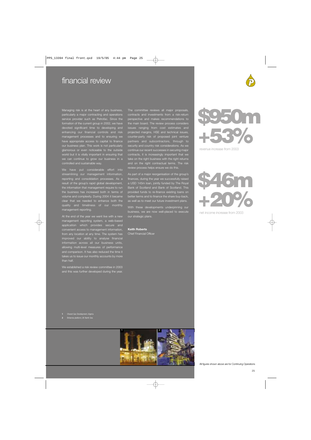# financial review

Managing risk is at the heart of any business, particularly a major contracting and operations service provider such as Petrofac. Since the formation of the current group in 2002, we have devoted significant time to developing and enhancing our financial controls and risk management processes and to ensuring we appropriate access to capital to fina our business plan. This work is not particularly glamorous or even noticeable to the outside world but it is vitally important in ensuring that we can continue to grow our business in a controlled and sustainable way.

We have put considerable effort into streamlining our management information, reporting and consolidation processes. As a result of the group's rapid global development, the information that management require to run the business has increased both in terms of volume and complexity. During 2004 it became clear that we needed to enhance both the quality and timeliness of our monthly management reporting.

At the end of the year we went live with a new management reporting system, a web-based application which provides secure and convenient access to management information, from any location at any time. The system has improved our ability to analyse financial wing multi-level measures of performance and comparison. It has also reduced the time it takes us to issue our monthly accounts by more than half.

We established a risk review committee in 2003 and this was further developed during the year. The committee reviews all major proposals, perspective and makes recommendations to the main board. The review process considers issues ranging from cost estimates and projected margins, HSE and technical issues. counter-party risk of proposed joint venture partners and subcontractors, through to security and country risk considerations. As we continue our recent successes in securing major contracts, it is increasingly important that we take on the right business with the right returns and on the right contractual terms. The risk review process helps ensure we do this.

As part of a major reorganisation of the group's finances, during the year we successfully raised a USD 145m loan, jointly funded by The Royal Bank of Scotland and Bank of Scotland. This provided funds to re-finance existing loans on better terms and to finance the share buy-back, as well as to meet our future investment plans.

With these developments underpinning our business, we are now well-placed to execute our strategic plans.

### **Keith Roberts**

Chief Financial Officer



revenue increase from 2003



net income increase from 2003

**1** Ohanet Gas Development, Algeria

**2** Britannia platform, UK North Sea



All figures shown above are for Continuing Operations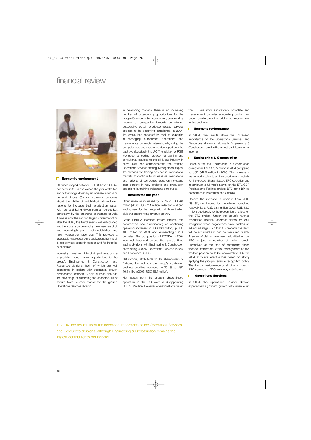# financial review



### **Economic environment**

Oil prices ranged between USD 30 and USD 57 per barrel in 2004 and closed the year at the top end of that range driven by an increase in world oil demand of over 3% and increasing concerns about the ability of established oil-producing nations to increase their production rates. With demand being driven from all regions but particularly by the emerging economies of Asia (China is now the second largest consumer of oil after the USA), this trend seems well established and the focus is on developing new reserves of oil and, increasingly, gas in both established and new hydrocarbon provinces. This provides a favourable macroeconomic background for the oil & gas services sector in general and for Petrofac in particular.

Increasing investment into oil & gas infrastructure is providing good market opportunities for the group's Engineering & Construction and Resources divisions, both of which are well established in regions with substantial proven hydrocarbon reserves. A high oil price also has the advantage of extending the economic life of mature fields, a core market for the group's Operations Services division.

In developing markets, there is an increasing number of outsourcing opportunities for the group's Operations Services division, as a trend by national oil companies towards considering outsourcing certain production-related services appears to be becoming established. In 2004, the group has successfully sold its expertise in managing outsourced operations and maintenance contracts internationally, using the competencies and experience developed over the past two decades in the UK. The addition of RGIT Montrose, a leading provider of training and consultancy services to the oil & gas industry, in early 2004 has complemented the existing Operations Services offering. Management expect the demand for training services in international markets to continue to increase as international and national oil companies focus on increasing local content in new projects and production operations by training indigenous employees.

### **Results for the year**

Group revenues increased by 35.6% to USD 964 million (2003: USD 711 million) reflecting a strong trading year for the group with all three trading divisions experiencing revenue growth.

Group EBITDA (earnings before interest, tax, depreciation and amortisation) on continuing operations increased to USD 96.1 million, up USD 48.0 million on 2003, and representing 10.1% on sales. The composition of EBITDA in 2004 was well balanced across the group's three trading divisions with Engineering & Construction contributing 43.9%, Operations Services 22.2% and Resources 33.9%.

Net income, attributable to the shareholders of Petrofac Limited, on the group's continuing business activities increased by 20.1% to USD 46.1 million (2003: USD 38.4 million).

Net losses from the group's discontinued operation in the US were a disappointing USD 13.2 million. However, operational activities in the US are now substantially complete and management consider adequate provision has been made to cover the residual commercial risks in this business.

### **Segment performance**

In 2004, the results show the increased importance of the Operations Services and Resources divisions, although Engineering & Construction remains the largest contributor to net income.

### **Engineering & Construction**  $\Box$

Revenue for the Engineering & Construction division was USD 473.5 million in 2004 compared to USD 342.9 million in 2003. This increase is largely attributable to an increased level of activity for the group's Sharjah-based EPC operation and in particular, a full year's activity on the BTC/SCP Pipelines and Facilities project (BTC) for a BP-led consortium in Azerbaijan and Georgia.

Despite the increase in revenue from 2003 (38.1%), net income for the division remained relatively flat at USD 33.1 million (2003: USD 32.2 million) due largely to the recognition of a loss on the BTC project. Under the group's revenue recognition policies, contract claims are only recognised when negotiations have reached an advanced stage such that it is probable the claim will be accepted and can be measured reliably. A series of claims have been submitted on the BTC project, a number of which remain unresolved at the time of completing these financial statements. Whilst management believe the loss position could be recovered in 2005, the 2004 accounts reflect a loss based on strictly applying the group's revenue recognition policy. The financial performance on all other lump-sum EPC contracts in 2004 was very satisfactory.

### **Operations Services**

In 2004, the Operations Services division experienced significant growth with revenue up

In 2004, the results show the increased importance of the Operations Services and Resources divisions, although Engineering & Construction remains the largest contributor to net income.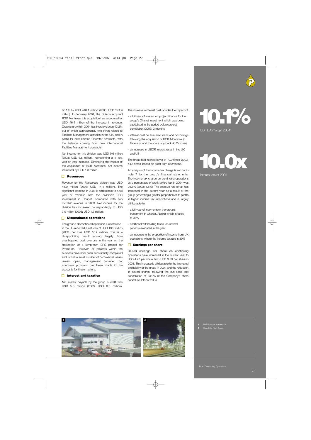60.1% to USD 440.1 million (2003: USD 274.9 million). In February 2004, the division acquired RGIT Montrose; this acquisition has accounted for USD 46.4 million of the increase in revenue. Organic growth in 2004 has therefore been 43.2% out of which approximately two-thirds relates to Facilities Management activities in the UK, and in particular new Service Operator contracts, with the balance coming from new international Facilities Management contracts.

Net income for this division was USD 9.6 million (2003: USD 6.8 million), representing a 41.5% year-on-year increase. Eliminating the impact of the acquisition of RGIT Montrose, net income increased by USD 1.3 million.

### **Resources**

Revenue for the Resources division was USD 45.0 million (2003: USD 14.4 million). The significant increase in 2004 is attributable to a full year of revenue from the division's RSC investment in Ohanet, compared with two months' revenue in 2003. Net income for the division has increased correspondingly to USD 7.0 million (2003: USD 1.6 million).

### **Discontinued operations**

The group's discontinued operation, Petrofac Inc., in the US reported a net loss of USD 13.2 million (2003: net loss USD 16.2 million). This is a disappointing result arising largely from unanticipated cost overruns in the year on the finalisation of a lump-sum EPC project for Petrobras. However, all projects within the business have now been substantially completed and, whilst a small number of commercial issues remain open, management consider that adequate provision has been made in the accounts for these matters.

### **Interest and taxation**

Net interest payable by the group in 2004 was USD 5.5 million (2003: USD 0.5 million). The increase in interest cost includes the impact of:

- a full year of interest on project finance for the group's Ohanet investment which was being capitalised in the period before project completion (2003: 2 months)
- interest cost on assumed loans and borrowings following the acquisition of RGIT Montrose (in February) and the share buy-back (in October)
- an increase in LIBOR interest rates in the UK and US

The group had interest cover of 10.0 times (2003: 54.4 times) based on profit from operations.

An analysis of the income tax charge is set out in note 7 to the group's financial statements. The income tax charge on continuing operations as a percentage of profit before tax in 2004 was 26.6% (2003: 6.8%). The effective rate of tax has increased in the current year as a result of the group generating a greater proportion of its profits in higher income tax jurisdictions and is largely attributable to:

- a full year of income from the group's investment in Ohanet, Algeria which is taxed at 38%
- additional withholding taxes, on several projects executed in the year
- an increase in the proportion of income from UK operations, where the income tax rate is 30%

### **Earnings per share**

Diluted earnings per share on continuing operations have increased in the current year to USD 4.77 per share from USD 3.58 per share in 2003. This increase is attributable to the improved profitability of the group in 2004 and the reduction in issued shares, following the buy-back and cancellation of 23.9% of the Company's share capital in October 2004.



# **10.0x**

interest cover 2004



- **1** RGIT Montrose, Aberdeen UK
- **2** Ohanet Gas Plant, Algeria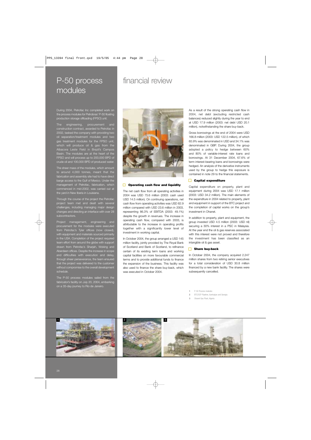# P-50 process modules

During 2004, Petrofac Inc completed work on the process modules for Petrobras' P-50 floating production storage offloading (FPSO) unit.

The engineering, procurement and construction contract, awarded to Petrofac in 2002, tasked the company with providing two oil separation/treatment modules and two gas treatment modules for the FPSO unit, which will produce oil & gas from the Albacora Leste Field in Brazil's Campos Basin. The modules are at the heart of the FPSO and will process up to 200,000 BPD of crude oil and 100,000 BPD of produced water.

The sheer mass of the modules, which amount to around 4,000 tonnes, meant that the fabrication and assembly site had to have direct barge access to the Gulf of Mexico. Under the management of Petrofac, fabrication, which commenced in mid-2002, was carried out at the yard in New Iberia in Louisiana.

Through the course of the project the Petrofac project team met and dealt with several challenges, including managing major design changes and directing an interface with over 28 subcontractors.

Project management, engineering and procurement for the modules were executed from Petrofac's Tyler offices (now closed), with equipment and materials sourced primarily<br>with equipment and materials sourced primarily in the USA. Completion of the project required team effort from around the globe with support drawn from Petrofac's Sharjah, Woking and Aberdeen offices. Despite the increase in scope and difficulties with execution and delay, through sheer perseverance, the team ensured that the project was delivered to the customer without compromise to the overall development schedule.

The P-50 process modules sailed from the fabricator's facility on July 20, 2004, embarking on a 35-day journey to Rio de Janeiro.

financial review



### **Operating cash flow and liquidity**

The net cash flow from all operating activities in 2004 was USD 75.6 million (2003: cash used USD 14.5 million). On continuing operations, net cash flow from operating activities was USD 82.9 million compared with USD 23.6 million in 2003, representing 86.3% of EBITDA (2003: 49.1%) despite the growth in revenues. The increase in operating cash flow, compared with 2003, is attributable to the increase in operating profits together with a significantly lower level of investment in working capital.

In October 2004, the group arranged a USD 145 million facility, jointly provided by The Royal Bank of Scotland and Bank of Scotland, to refinance certain of its existing term loans and working capital facilities on more favourable commercial terms and to provide additional funds to finance the expansion of the business. This facility was also used to finance the share buy-back, which was executed in October 2004.

As a result of the strong operating cash flow in 2004, net debt (excluding restricted cash balances) reduced slightly during the year to end at USD 17.9 million (2003: net debt USD 20.1 million), notwithstanding the share buy-back.

Gross borrowings at the end of 2004 were USD 166.8 million (2003: USD 122.5 million), of which 65.9% was denominated in USD and 34.1% was denominated in GBP. During 2004, the group adopted a policy to hedge between 60% and 80% of variable-interest rate loans and borrowings. At 31 December 2004, 67.6% of term interest-bearing loans and borrowings were hedged. An analysis of the derivative instruments used by the group to hedge this exposure is contained in note 29 to the financial statements.

### **Capital expenditure**

Capital expenditure on property, plant and equipment during 2004 was USD 17.1 million (2003: USD 34.2 million). The main elements of the expenditure in 2004 related to property, plant and equipment in support of the BTC project and the completion of capital works on the group's investment in Ohanet.

In addition to property, plant and equipment, the group invested USD 4.5 million (2003: USD nil) securing a 30% interest in a PSC in Malaysia. At the year end the oil & gas reserves associated with this interest were not proved and therefore the investment has been classified as an intangible oil & gas asset.

### **Share buy-back**  $\Box$

In October 2004, the company acquired 2.247 million shares from two retiring senior executives for a total consideration of USD 30.8 million financed by a new bank facility. The shares were subsequently cancelled.

**1** P-50 Process modules

- **2** BTC/SCP Pipeline, Azerbaijan and Georgia
- **3** Ohanet Gas Plant, Algeria



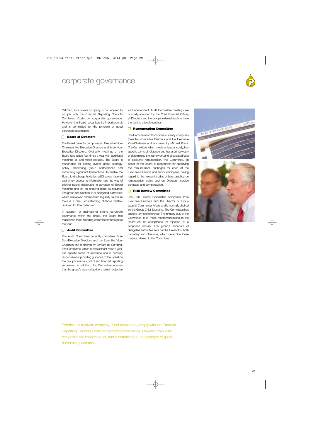# corporate governance



Petrofac, as a private company, is not required to comply with the Financial Reporting Council's Combined Code on corporate governance. However, the Board recognises the importance of, and is committed to, the principle of good corporate governance.

### **Board of Directors**

The Board currently comprises an Executive Vice-Chairman, five Executive Directors and three Non-Executive Directors. Ordinarily, meetings of the Board take place four times a year with additional meetings as and when required. The Board is responsible for setting overall group strategy, policy, monitoring group performance and authorising significant transactions. To enable the Board to discharge its duties, all Directors have full and timely access to information both by way of briefing packs distributed in advance of Board meetings and on an ongoing basis as required. The group has a schedule of delegated authorities, which is reviewed and updated regularly, to ensure there is a clear understanding of those matters reserved for Board decision.

In support of maintaining strong corporate governance within the group, the Board has maintained three standing committees throughout the year:

### **Audit Committee**

The Audit Committee currently comprises three Non-Executive Directors and the Executive Vice-Chairman and is chaired by Bernard de Combret. The Committee, which meets at least twice a year, has specific terms of reference and is primarily responsible for providing guidance to the Board on the group's internal control and financial reporting processes. In addition, the Committee ensures that the group's external auditors remain objective and independent. Audit Committee meetings are normally attended by the Chief Financial Officer; all Directors and the group's external auditors have the right to attend meetings.

### **Remuneration Committee**

The Remuneration Committee currently comprises three Non-Executive Directors and the Executive Vice-Chairman and is chaired by Michael Press. The Committee, which meets at least annually, has specific terms of reference and has a primary duty of determining the framework and associated cost of executive remuneration. The Committee, on behalf of the Board, is responsible for specifying the remuneration packages for each of the Executive Directors and senior employees, having regard to the relevant codes of best practice on remuneration policy and on Directors' service contracts and compensation.

### **Risk Review Committee**

The Risk Review Committee comprises three Executive Directors and the Director of Group Legal & Commercial Affairs and is normally chaired by the Group Chief Executive. The Committee has specific terms of reference. The primary duty of the Committee is to make recommendations to the Board on the acceptance, or rejection, of a proposed activity. The group's schedule of delegated authorities sets out the thresholds, both monetary and otherwise, which determine those matters referred to the Committee.



Petrofac, as a private company, is not required to comply with the Financial Reporting Council's Code on corporate governance. However, the Board recognises the importance of, and is committed to, the principle of good corporate governance.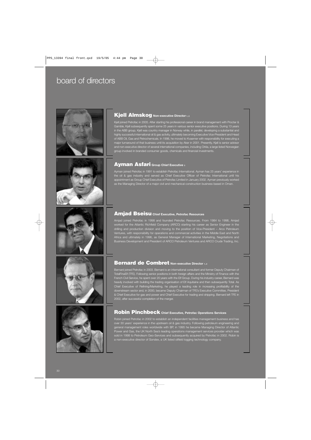# board of directors





# **Kjell Almskog Non-executive Director 1, 2**

Kjell joined Petrofac in 2005. After starting his professional career in brand management with Procter & Gamble, Kjell subsequently spent some 25 years in various senior executive positions. During 13 years in the ABB group, Kjell was country manager in Norway while, in parallel, developing a substantial and highly successful international oil & gas activity, ultimately becoming Executive Vice-President and Head of ABB Oil, Gas and Petrochemicals. In 1998, he moved to Kvaerner with responsibility for executing a major turnaround of that business until its acquisition by Aker in 2001. Presently, Kjell is senior advisor and non-executive director of several international companies, including Orkla, a large listed Norwegian group involved in branded consumer goods, chemicals and financial investments.

### **Ayman Asfari Group Chief Executive 3**

Ayman joined Petrofac in 1991 to establish Petrofac International. Ayman has 25 years' experience in the oil & gas industry and served as Chief Executive Officer of Petrofac International until his appointment as Group Chief Executive of Petrofac Limited in January 2002. Ayman previously worked as the Managing Director of a major civil and mechanical construction business based in Oman.



### **Amjad Bseisu Chief Executive, Petrofac Resources**

Amjad joined Petrofac in 1998 and founded Petrofac Resources. From 1984 to 1998, Amjad worked for the Atlantic Richfield Company (ARCO) starting his career as Senior Engineer in the drilling and production division and moving to the position of Vice-President – Arco Petroleum Ventures, with responsibility for operations and commercial activities in the Middle East and North Africa and ultimately in 1996, as General Manager of International Marketing, Negotiations and Business Development and President of ARCO Petroleum Ventures and ARCO Crude Trading, Inc.



## **Bernard de Combret** Non-executive Director 1, 2

Bernard joined Petrofac in 2003. Bernard is an international consultant and former Deputy Chairman of TotalFinaElf (TFE). Following senior positions in both foreign affairs and the Ministry of Finance with the French Civil Service, he spent over 20 years with the Elf Group. During his industry career, Bernard was heavily involved with building the trading organisation of Elf Aquitaine and then subsequently Total. As Chief Executive of Refining/Marketing, he played a leading role in increasing profitability of the downstream sector and, in 2000, became Deputy Chairman of TFE's Executive Committee, President & Chief Executive for gas and power and Chief Executive for trading and shipping. Bernard left TFE in 2002, after successful completion of the merger.



# **Robin Pinchbeck Chief Executive, Petrofac Operations Services**

Robin joined Petrofac in 2002 to establish an independent facilities management business and has over 30 years' experience in the upstream oil & gas industry. Following petroleum engineering and general management roles worldwide with BP, in 1995 he became Managing Director of Atlantic Power and Gas, the UK North Sea's leading operations management services provider which was sold in 1998 to Petroleum Geo-Services and subsequently acquired by Petrofac in 2002. Robin is a non-executive director of Sondex, a UK listed oilfield logging technology company.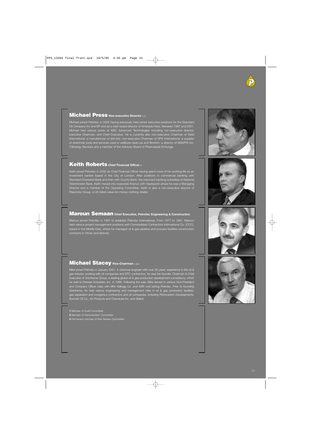### **Michael Press Non-executive Director 1, 2**

Michael joined Petrofac in 2002 having previously held senior executive positions for the Standard Oil Company Inc and BP and as a main board director of Amerada Hess. Between 1997 and 2001, Michael had various posts at KBC Advanced Technologies including non-executive director, executive Chairman, and Chief Executive. He is currently also non-executive Chairman of Varel International, a manufacturer of drill bits, non-executive Chairman of SPS International, a supplier of downhole tools and services used in wellbore clean-up and filtration, a director of ABARTA Inc, T3Energy Services and a member of the Advisory Board of Pharmadule Emtunga.

### **Keith Roberts Chief Financial Officer 3**

Keith joined Petrofac in 2002 as Chief Financial Officer having spent most of his working life as an investment banker based in the City of London. After positions in commercial banking with Standard Chartered Bank and then with County Bank, the merchant banking subsidiary of National Westminster Bank, Keith moved into corporate finance with Hawkpoint where he was a Managing Director and a member of the Operating Committee. Keith is also a non-executive director of Peacocks Group, a UK listed value-for-money clothing retailer.

### **Maroun Semaan Chief Executive, Petrofac Engineering & Construction**

Maroun joined Petrofac in 1991 to establish Petrofac International. From 1977 to 1991, Maroun held various project management positions with Consolidated Contractors International Co. (CCC), based in the Middle East, where he managed oil & gas pipeline and process facilities construction contracts in Oman and Bahrain.

### **Michael Stacey Vice-Chairman 1, 2, 3**

Mike joined Petrofac in January 2001. A chemical engineer with over 35 years' experience in the oil & s industry working with oil companies and EPC contractors, he was the founder, Chairman & Chief Executive of Granherne Group, a leading global oil & gas production development consultancy, which he sold to Dresser Industries, Inc. in 1996. Following the sale, Mike served in various Vice-President and Company Officer roles with MW Kellogg Co. and KBR until joining Petrofac. Prior to founding Granherne, he held various engineering and management roles in oil & gas production facilities, gas separation and cryogenics contractors and oil companies, including Petrocarbon Developments, Burmah Oil Co., Air Products and Chemicals Inc. and Statoil.

- **1** Member of Audit Committee
- **2** Member of Remuneration Committee
- **3** Permanent member of Risk Review Committee







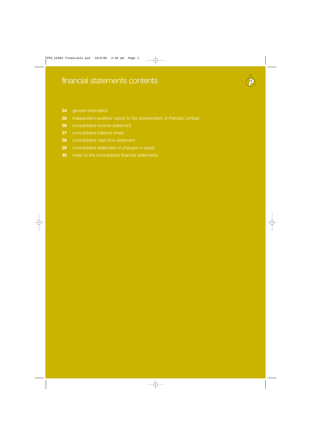

- general information
- independent auditors' report to the shareholders of Petrofac Limited
- consolidated income statement
- consolidated balance sheet
- consolidated cash flow statement
- consolidated statement of changes in equity
- notes to the consolidated financial statements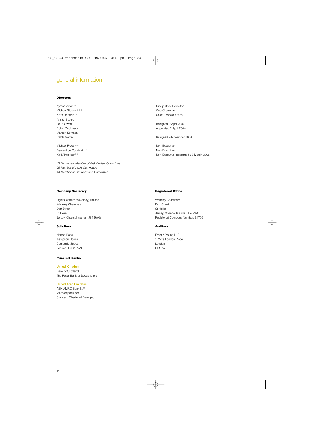# general information

### **Directors**

Michael Stacey (1) (2) (3) Contract and the Michael Stacey of the Michael Stacey of the Michael Stacey of the Michael Stace Chairman Amjad Bseisu Louis Owen **Resigned 9 April 2004** Maroun Semaan

Michael Press<sup>(2) (3)</sup> Non-Executive Bernard de Combret (2) (3) Non-Executive Combret (2) (3) Non-Executive

*(1) Permanent Member of Risk Review Committee (2) Member of Audit Committee (3) Member of Remuneration Committee*

Ayman Asfari<sup>(1)</sup> Group Chief Executive Keith Roberts (1) Chief Financial Officer

Robin Pinchbeck Appointed 7 April 2004

Ralph Martin **Resigned 9 November 2004** Resigned 9 November 2004

Kjell Almskog<sup>®®</sup> (3) Non-Executive, appointed 23 March 2005

### **Company Secretary**

Ogier Secretaries (Jersey) Limited Whiteley Chambers Don Street St Helier Jersey, Channel Islands JE4 9WG

### **Solicitors**

Norton Rose Kempson House Camomile Street London EC3A 7AN

### **Principal Banks**

**United Kingdom** Bank of Scotland The Royal Bank of Scotland plc

### **United Arab Emirates**

ABN AMRO Bank N.V. Mashreqbank psc Standard Chartered Bank plc

### **Registered Office**

Whiteley Chambers Don Street St Helier Jersey, Channel Islands JE4 9WG Registered Company Number: 81792

### **Auditors**

Ernst & Young LLP 1 More London Place London SE1 2AF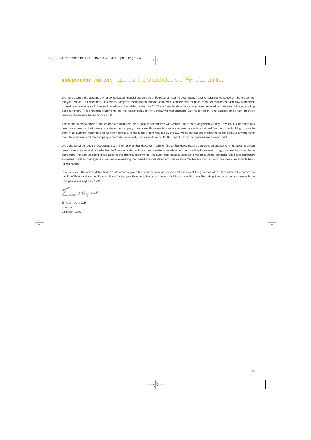# independent auditors' report to the shareholders of Petrofac Limited

We have audited the accompanying consolidated financial statements of Petrofac Limited ("the company") and its subsidiaries (together "the group") for the year ended 31 December 2004 which comprise consolidated income statement, consolidated balance sheet, consolidated cash flow statement, consolidated statement of changes in equity and the related notes 1 to 32. These financial statements have been prepared on the basis of the accounting policies herein. These financial statements are the responsibility of the company's management. Our responsibility is to express an opinion on these financial statements based on our audit.

This report is made solely to the company's members, as a body in accordance with Article 110 of the Companies (Jersey) Law 1991. Our report has been undertaken so that we might state to the company's members those matters we are required under International Standards on Auditing to state to them in an auditors' report and for no other purpose. To the fullest extent required by the law, we do not accept or assume responsibility to anyone other than the company and the company's members as a body, for our audit work, for this report, or for the opinions we have formed.

We conducted our audit in accordance with International Standards on Auditing. Those Standards require that we plan and perform the audit to obtain reasonable assurance about whether the financial statements are free of material misstatement. An audit includes examining, on a test basis, evidence supporting the amounts and disclosures in the financial statements. An audit also includes assessing the accounting principles used and significant estimates made by management, as well as evaluating the overall financial statement presentation. We believe that our audit provides a reasonable basis for our opinion.

In our opinion, the consolidated financial statements give a true and fair view of the financial position of the group as of 31 December 2004 and of the results of its operations and its cash flows for the year then ended in accordance with International Financial Reporting Standards and comply with the Companies (Jersey) Law 1991.

Emain 2 Tem cup

Ernst & Young LLP London 23 March 2005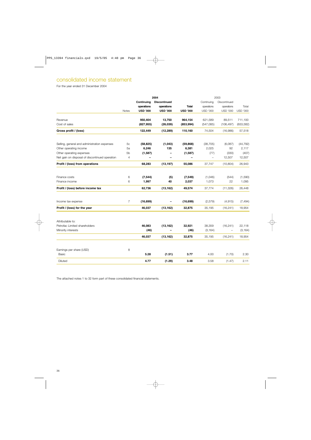# consolidated income statement

For the year ended 31 December 2004

|                                                |                |                 | 2004                |                          | 2003                     |                            |                 |
|------------------------------------------------|----------------|-----------------|---------------------|--------------------------|--------------------------|----------------------------|-----------------|
|                                                |                | Continuing      | <b>Discontinued</b> |                          | Continuing<br>operations | Discontinued<br>operations | Total           |
|                                                |                | operations      | operations          | <b>Total</b>             |                          |                            |                 |
|                                                | Notes          | <b>USD '000</b> | <b>USD '000</b>     | <b>USD '000</b>          | <b>USD '000</b>          | <b>USD '000</b>            | <b>USD '000</b> |
| Revenue                                        |                | 950,404         | 13,750              | 964,154                  | 621,589                  | 89,511                     | 711,100         |
| Cost of sales                                  |                | (827, 955)      | (26, 039)           | (853, 994)               | (547,085)                | (106, 497)                 | (653, 582)      |
| Gross profit / (loss)                          |                | 122,449         | (12, 289)           | 110,160                  | 74,504                   | (16,986)                   | 57,518          |
| Selling, general and administration expenses   | 5 <sub>c</sub> | (58, 825)       | (1,043)             | (59, 868)                | (38, 705)                | (6,087)                    | (44, 792)       |
| Other operating income                         | 5a             | 6,246           | 135                 | 6,381                    | 2,025                    | 92                         | 2,117           |
| Other operating expenses                       | 5 <sub>b</sub> | (1,587)         |                     | (1,587)                  | (77)                     | (330)                      | (407)           |
| Net gain on disposal of discontinued operation | 4              |                 |                     | $\overline{\phantom{0}}$ | $\qquad \qquad -$        | 12,507                     | 12,507          |
| Profit / (loss) from operations                |                | 68,283          | (13, 197)           | 55,086                   | 37,747                   | (10, 804)                  | 26,943          |
| Finance costs                                  | 6              | (7, 544)        | (5)                 | (7, 549)                 | (1,046)                  | (544)                      | (1,590)         |
| Finance income                                 | 6              | 1,997           | 40                  | 2,037                    | 1,073                    | 22                         | 1,095           |
| Profit / (loss) before income tax              |                | 62,736          | (13, 162)           | 49,574                   | 37,774                   | (11, 326)                  | 26,448          |
| Income tax expense                             | $\overline{7}$ | (16, 699)       |                     | (16, 699)                | (2,579)                  | (4,915)                    | (7, 494)        |
| Profit / (loss) for the year                   |                | 46,037          | (13, 162)           | 32,875                   | 35,195                   | (16, 241)                  | 18,954          |
| Attributable to:                               |                |                 |                     |                          |                          |                            |                 |
| Petrofac Limited shareholders                  |                | 46,083          | (13, 162)           | 32,921                   | 38,359                   | (16, 241)                  | 22,118          |
| Minority interests                             |                | (46)            | —                   | (46)                     | (3, 164)                 | $\overline{\phantom{0}}$   | (3, 164)        |
|                                                |                | 46,037          | (13, 162)           | 32,875                   | 35,195                   | (16, 241)                  | 18,954          |
| Earnings per share (USD)                       | 8              |                 |                     |                          |                          |                            |                 |
| Basic                                          |                | 5.28            | (1.51)              | 3.77                     | 4.00                     | (1.70)                     | 2.30            |
| Diluted                                        |                | 4.77            | (1.29)              | 3.48                     | 3.58                     | (1.47)                     | 2.11            |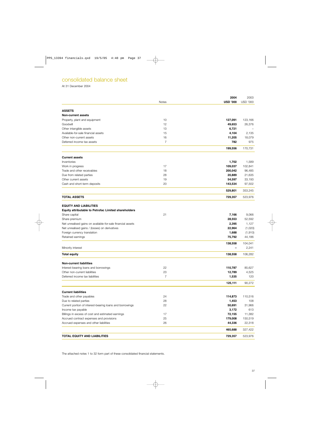# consolidated balance sheet

At 31 December 2004

|                                                                       |                | 2004                     | 2003               |
|-----------------------------------------------------------------------|----------------|--------------------------|--------------------|
|                                                                       | <b>Notes</b>   | <b>USD '000</b>          | <b>USD '000</b>    |
| <b>ASSETS</b>                                                         |                |                          |                    |
| <b>Non-current assets</b>                                             |                |                          |                    |
| Property, plant and equipment                                         | 10             | 127,091                  | 123,166            |
| Goodwill                                                              | 12             | 49,653                   | 26,376             |
| Other intangible assets                                               | 13             | 6,721                    |                    |
| Available-for-sale financial assets                                   | 15             | 4,104                    | 2,135              |
| Other non-current assets                                              | 16             | 11,205                   | 18,079             |
| Deferred income tax assets                                            | $\overline{7}$ | 782                      | 975                |
|                                                                       |                | 199,556                  | 170,731            |
| <b>Current assets</b>                                                 |                |                          |                    |
| Inventories                                                           |                | 1,702                    | 1,589              |
| Work in progress                                                      | 17             | 109,037                  | 102,841            |
| Trade and other receivables                                           | 18             | 200,042                  | 96,485             |
| Due from related parties                                              | 28             | 20,889                   | 21,635             |
| Other current assets                                                  | 19             | 54,597                   | 33,193             |
| Cash and short-term deposits                                          | 20             | 143,534                  | 97,502             |
|                                                                       |                | 529,801                  | 353,245            |
| <b>TOTAL ASSETS</b>                                                   |                | 729,357                  | 523,976            |
|                                                                       |                |                          |                    |
| <b>EQUITY AND LIABILITIES</b>                                         |                |                          |                    |
| Equity attributable to Petrofac Limited shareholders<br>Share capital | 21             | 7,166                    | 9,066              |
| Share premium                                                         |                | 28,553                   | 52,592             |
|                                                                       |                | 2,395                    | 1,127              |
| Net unrealised gains on available-for-sale financial assets           |                | 22,964                   |                    |
| Net unrealised gains / (losses) on derivatives                        |                | 1,688                    | (1,020)<br>(1,910) |
| Foreign currency translation                                          |                | 75,792                   | 44,186             |
| Retained earnings                                                     |                |                          |                    |
|                                                                       |                | 138,558                  | 104,041            |
| Minority interest                                                     |                | $\overline{\phantom{0}}$ | 2,241              |
| <b>Total equity</b>                                                   |                | 138,558                  | 106,282            |
| <b>Non-current liabilities</b>                                        |                |                          |                    |
| Interest-bearing loans and borrowings                                 | 22             | 110,787                  | 85,627             |
| Other non-current liabilities                                         | 23             | 12,789                   | 4,525              |
| Deferred income tax liabilities                                       | $\overline{7}$ | 1,535                    | 120                |
|                                                                       |                | 125,111                  | 90,272             |
| <b>Current liabilities</b>                                            |                |                          |                    |
| Trade and other payables                                              | 24             | 114,873                  | 110,516            |
| Due to related parties                                                | 28             | 1,453                    | 108                |
| Current portion of interest-bearing loans and borrowings              | 22             | 50,691                   | 31,966             |
| Income tax payable                                                    |                | 3,172                    | 613                |
| Billings in excess of cost and estimated earnings                     | 17             | 72,155                   | 11,382             |
| Accrued contract expenses and provisions                              | 25             | 179,008                  | 150,519            |
| Accrued expenses and other liabilities                                | 26             | 44,336                   | 22,318             |
|                                                                       |                | 465,688                  | 327,422            |
| <b>TOTAL EQUITY AND LIABILITIES</b>                                   |                | 729,357                  | 523,976            |
|                                                                       |                |                          |                    |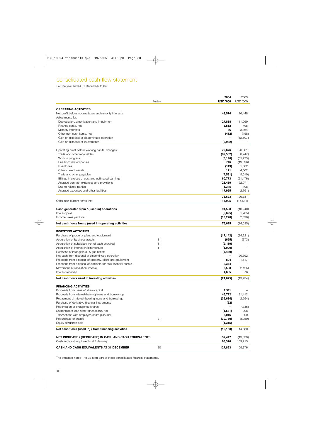# consolidated cash flow statement

For the year ended 31 December 2004

|                                                                                                                          | <b>Notes</b> | 2004<br><b>USD '000</b> | 2003<br><b>USD '000</b> |
|--------------------------------------------------------------------------------------------------------------------------|--------------|-------------------------|-------------------------|
|                                                                                                                          |              |                         |                         |
| <b>OPERATING ACTIVITIES</b>                                                                                              |              |                         |                         |
| Net profit before income taxes and minority interests                                                                    |              | 49,574                  | 26,448                  |
| Adjustments for:                                                                                                         |              |                         |                         |
| Depreciation, amortisation and impairment                                                                                |              | 27,888                  | 11,059                  |
| Finance costs, net                                                                                                       |              | 5,512                   | 495                     |
| Minority interests<br>Other non-cash items, net                                                                          |              | 46                      | 3,164                   |
| Gain on disposal of discontinued operation                                                                               |              | (412)                   | (158)<br>(12,507)       |
| Gain on disposal of investments                                                                                          |              | (2,932)                 |                         |
|                                                                                                                          |              |                         |                         |
| Operating profit before working capital changes:                                                                         |              | 79,676                  | 28,501                  |
| Trade and other receivables                                                                                              |              | (99, 582)               | (8, 247)                |
| Work in progress                                                                                                         |              | (6, 196)                | (55, 725)               |
| Due from related parties                                                                                                 |              | 746                     | (19, 596)               |
| Inventories                                                                                                              |              | (113)                   | 1,082                   |
| Other current assets                                                                                                     |              | 171                     | 4,002                   |
| Trade and other payables                                                                                                 |              | (4,581)                 | (5,610)                 |
| Billings in excess of cost and estimated earnings<br>Accrued contract expenses and provisions                            |              | 60,773                  | (21, 476)<br>52,971     |
| Due to related parties                                                                                                   |              | 28,489<br>1,345         | 108                     |
| Accrued expenses and other liabilities                                                                                   |              | 17,965                  | (2,791)                 |
|                                                                                                                          |              |                         |                         |
|                                                                                                                          |              | 78,693                  | 26,781                  |
| Other non-current items, net                                                                                             |              | 15,905                  | (16, 541)               |
| Cash generated from / (used in) operations                                                                               |              | 94,598                  | (10, 240)               |
| Interest paid                                                                                                            |              | (5,695)                 | (1,705)                 |
| Income taxes paid, net                                                                                                   |              | (13, 278)               | (2,590)                 |
| Net cash flows from / (used in) operating activities                                                                     |              | 75,625                  | (14, 535)               |
|                                                                                                                          |              |                         |                         |
| <b>INVESTING ACTIVITIES</b>                                                                                              |              |                         |                         |
| Purchase of property, plant and equipment                                                                                |              | (17, 142)               | (34, 321)               |
| Acquisition of business assets                                                                                           | 11           | (695)                   | (373)                   |
| Acquisition of subsidiary, net of cash acquired                                                                          | 11           | (9, 119)                |                         |
| Acquisition of interest in joint venture                                                                                 | 11           | (1,000)                 |                         |
| Purchase of intangible oil & gas assets                                                                                  |              | (4, 480)                |                         |
| Net cash from disposal of discontinued operation                                                                         |              |                         | 20,692                  |
| Proceeds from disposal of property, plant and equipment<br>Proceeds from disposal of available-for-sale financial assets |              | 804<br>2,344            | 1,617                   |
| Movement in translation reserve                                                                                          |              | 3,598                   | (2, 125)                |
| Interest received                                                                                                        |              | 1,665                   | 576                     |
|                                                                                                                          |              |                         |                         |
| Net cash flows used in investing activities                                                                              |              | (24, 025)               | (13,934)                |
| <b>FINANCING ACTIVITIES</b>                                                                                              |              |                         |                         |
| Proceeds from issue of share capital                                                                                     |              | 1,511                   |                         |
| Proceeds from interest-bearing loans and borrowings                                                                      |              | 45,722                  | 31,412                  |
| Repayment of interest-bearing loans and borrowings                                                                       |              | (35, 684)               | (2, 294)                |
| Purchase of derivative financial instruments                                                                             |              | (62)                    |                         |
| Redemption of preference shares                                                                                          |              | -                       | (7,336)                 |
| Shareholders loan note transactions, net                                                                                 |              | (1,581)                 | 208                     |
| Transactions with employee share plan, net                                                                               |              | 3,016                   | 890                     |
| Repurchase of shares                                                                                                     | 21           | (30, 760)               | (8,250)                 |
| Equity dividends paid                                                                                                    |              | (1, 315)                |                         |
| Net cash flows (used in) / from financing activities                                                                     |              | (19, 153)               | 14,630                  |
| NET INCREASE / (DECREASE) IN CASH AND CASH EQUIVALENTS                                                                   |              | 32,447                  | (13,839)                |
| Cash and cash equivalents at 1 January                                                                                   |              | 95,376                  | 109,215                 |
|                                                                                                                          |              |                         |                         |
| <b>CASH AND CASH EQUIVALENTS AT 31 DECEMBER</b>                                                                          | 20           | 127,823                 | 95,376                  |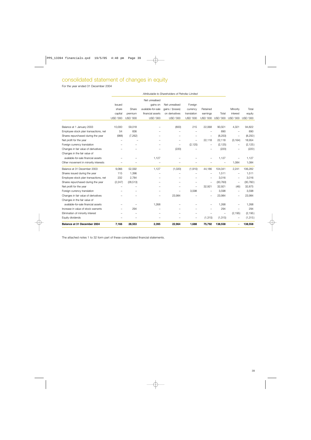# consolidated statement of changes in equity

For the year ended 31 December 2004

| Balance at 31 December 2004                                                 | 7,166                                            | 28,553                     | 2,395                               | 22,964                            | 1,688                          | 75,792                      | 138,558                  |                                  | 138,558                   |
|-----------------------------------------------------------------------------|--------------------------------------------------|----------------------------|-------------------------------------|-----------------------------------|--------------------------------|-----------------------------|--------------------------|----------------------------------|---------------------------|
|                                                                             |                                                  |                            |                                     |                                   |                                |                             |                          |                                  |                           |
| Equity dividends                                                            |                                                  |                            |                                     |                                   | $\overline{\phantom{m}}$       | (1, 315)                    | (1, 315)                 |                                  | (1, 315)                  |
| Elimination of minority interest                                            |                                                  |                            |                                     |                                   |                                |                             |                          | (2, 195)                         | (2, 195)                  |
| Increase in value of stock warrants                                         |                                                  | 294                        |                                     |                                   |                                |                             | 294                      |                                  | 294                       |
| Changes in the fair value of<br>available-for-sale financial assets         |                                                  |                            | 1,268                               |                                   |                                |                             | 1,268                    |                                  | 1,268                     |
| Changes in fair value of derivatives                                        |                                                  |                            |                                     |                                   |                                |                             |                          |                                  | 23,984                    |
|                                                                             |                                                  |                            | -                                   | 23,984                            |                                | $\overline{\phantom{m}}$    | 23,984                   | $\overline{\phantom{m}}$         |                           |
| Foreign currency translation                                                |                                                  |                            |                                     | $\overline{\phantom{0}}$          | 3,598                          |                             | 3,598                    |                                  | 3,598                     |
| Net profit for the year                                                     | $\overline{\phantom{0}}$                         |                            |                                     |                                   | $\equiv$                       | 32,921                      | 32,921                   | $\overline{\phantom{m}}$<br>(46) | 32,875                    |
| Employee stock plan transactions, net<br>Shares repurchased during the year | 232<br>(2, 247)                                  | 2,784<br>(28, 513)         |                                     |                                   |                                |                             | 3,016<br>(30, 760)       |                                  | 3,016<br>(30, 760)        |
| Shares issued during the year                                               | 115                                              | 1,396                      |                                     |                                   |                                |                             | 1,511                    |                                  | 1,511                     |
| Balance at 31 December 2003                                                 | 9,066                                            | 52,592                     | 1,127                               | (1,020)                           | (1,910)                        | 44,186                      | 104,041                  | 2,241                            | 106,282                   |
|                                                                             |                                                  |                            |                                     |                                   |                                |                             |                          |                                  |                           |
| Other movement in minority interests                                        |                                                  |                            |                                     |                                   |                                |                             |                          | 1,084                            | 1,084                     |
| available-for-sale financial assets                                         |                                                  |                            | 1,127                               |                                   |                                |                             | 1,127                    |                                  | 1,127                     |
| Changes in the fair value of                                                |                                                  |                            |                                     |                                   |                                |                             |                          |                                  |                           |
| Changes in fair value of derivatives                                        |                                                  |                            |                                     | (220)                             |                                |                             | (220)                    |                                  | (220)                     |
| Foreign currency translation                                                |                                                  |                            |                                     |                                   | (2, 125)                       | -                           | (2, 125)                 |                                  | (2, 125)                  |
| Net profit for the year                                                     |                                                  |                            |                                     |                                   | $\overline{\phantom{m}}$       | 22,118                      | 22,118                   | (3, 164)                         | 18,954                    |
| Employee stock plan transactions, net<br>Shares repurchased during the year | 54<br>(988)                                      | 836<br>(7, 262)            |                                     |                                   |                                | $\overline{\phantom{0}}$    | 890<br>(8,250)           | $\overline{\phantom{m}}$         | 890<br>(8,250)            |
| Balance at 1 January 2003                                                   | 10,000                                           | 59,018                     |                                     | (800)                             | 215                            | 22,068                      | 90,501                   | 4,321                            | 94,822                    |
|                                                                             |                                                  |                            |                                     |                                   |                                |                             |                          |                                  |                           |
|                                                                             | capital<br><b>USD '000</b>                       | premium<br><b>USD '000</b> | financial assets<br><b>USD '000</b> | on derivatives<br><b>USD '000</b> | translation<br><b>USD '000</b> | earnings<br><b>USD '000</b> | Total<br><b>USD '000</b> | interest<br><b>USD '000</b>      | equity<br><b>USD '000</b> |
|                                                                             | share                                            | Share                      | available-for-sale                  | gains / (losses)                  | currency                       | Retained                    |                          | Minority                         | Total                     |
|                                                                             | <b>Issued</b>                                    |                            | gains on                            | Net unrealised                    | Foreign                        |                             |                          |                                  |                           |
|                                                                             |                                                  |                            | Net unrealised                      |                                   |                                |                             |                          |                                  |                           |
|                                                                             |                                                  |                            |                                     |                                   |                                |                             |                          |                                  |                           |
|                                                                             | Attributable to Shareholders of Petrofac Limited |                            |                                     |                                   |                                |                             |                          |                                  |                           |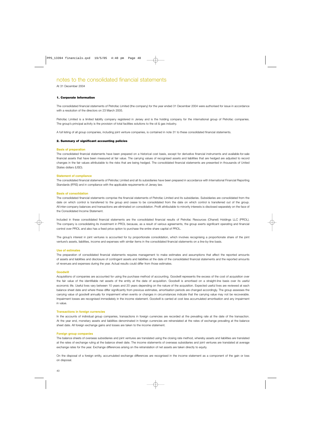At 31 December 2004

### **1. Corporate Information**

The consolidated financial statements of Petrofac Limited (the company) for the year ended 31 December 2004 were authorised for issue in accordance with a resolution of the directors on 23 March 2005.

Petrofac Limited is a limited liability company registered in Jersey and is the holding company for the international group of Petrofac companies. The group's principal activity is the provision of total facilities solutions to the oil & gas industry.

A full listing of all group companies, including joint venture companies, is contained in note 31 to these consolidated financial statements.

### **2. Summary of significant accounting policies**

### **Basis of preparation**

The consolidated financial statements have been prepared on a historical cost basis, except for derivative financial instruments and available-for-sale financial assets that have been measured at fair value. The carrying values of recognised assets and liabilities that are hedged are adjusted to record changes in the fair values attributable to the risks that are being hedged. The consolidated financial statements are presented in thousands of United States dollars (USD).

### **Statement of compliance**

The consolidated financial statements of Petrofac Limited and all its subsidiaries have been prepared in accordance with International Financial Reporting Standards (IFRS) and in compliance with the applicable requirements of Jersey law.

### **Basis of consolidation**

The consolidated financial statements comprise the financial statements of Petrofac Limited and its subsidiaries. Subsidiaries are consolidated from the date on which control is transferred to the group and cease to be consolidated from the date on which control is transferred out of the group. All inter-company balances and transactions are eliminated on consolidation. Profit attributable to minority interests is disclosed separately on the face of the Consolidated Income Statement.

Included in these consolidated financial statements are the consolidated financial results of Petrofac Resources (Ohanet) Holdings LLC (PROL). The company is consolidating its investment in PROL because, as a result of various agreements, the group exerts significant operating and financial control over PROL and also has a fixed price option to purchase the entire share capital of PROL.

The group's interest in joint ventures is accounted for by proportionate consolidation, which involves recognising a proportionate share of the joint venture's assets, liabilities, income and expenses with similar items in the consolidated financial statements on a line-by-line basis.

### **Use of estimates**

The preparation of consolidated financial statements requires management to make estimates and assumptions that affect the reported amounts of assets and liabilities and disclosure of contingent assets and liabilities at the date of the consolidated financial statements and the reported amounts of revenues and expenses during the year. Actual results could differ from those estimates.

### **Goodwill**

Acquisitions of companies are accounted for using the purchase method of accounting. Goodwill represents the excess of the cost of acquisition over the fair value of the identifiable net assets of the entity at the date of acquisition. Goodwill is amortised on a straight-line basis over its useful economic life. Useful lives vary between 10 years and 20 years depending on the nature of the acquisition. Expected useful lives are reviewed at each balance sheet date and where these differ significantly from previous estimates, amortisation periods are changed accordingly. The group assesses the carrying value of goodwill annually for impairment when events or changes in circumstances indicate that the carrying value may not be recoverable. Impairment losses are recognised immediately in the income statement. Goodwill is carried at cost less accumulated amortisation and any impairment in value.

### **Transactions in foreign currencies**

In the accounts of individual group companies, transactions in foreign currencies are recorded at the prevailing rate at the date of the transaction. At the year end, monetary assets and liabilities denominated in foreign currencies are retranslated at the rates of exchange prevailing at the balance sheet date. All foreign exchange gains and losses are taken to the income statement.

### **Foreign group companies**

The balance sheets of overseas subsidiaries and joint ventures are translated using the closing rate method, whereby assets and liabilities are translated at the rates of exchange ruling at the balance sheet date. The income statements of overseas subsidiaries and joint ventures are translated at average exchange rates for the year. Exchange differences arising on the retranslation of net assets are taken directly to equity.

On the disposal of a foreign entity, accumulated exchange differences are recognised in the income statement as a component of the gain or loss on disposal.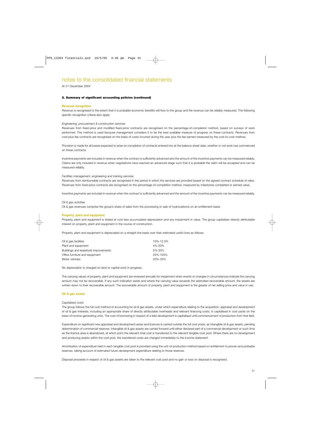At 31 December 2004

### **2. Summary of significant accounting policies (continued)**

### **Revenue recognition**

Revenue is recognised to the extent that it is probable economic benefits will flow to the group and the revenue can be reliably measured. The following specific recognition criteria also apply:

### *Engineering, procurement & construction services*

Revenues from fixed-price and modified fixed-price contracts are recognised on the percentage-of-completion method, based on surveys of work performed. This method is used because management considers it to be the best available measure of progress on these contracts. Revenues from cost-plus-fee contracts are recognised on the basis of costs incurred during the year plus the fee earned measured by the cost-to-cost method.

Provision is made for all losses expected to arise on completion of contracts entered into at the balance sheet date, whether or not work has commenced on these contracts.

Incentive payments are included in revenue when the contract is sufficiently advanced and the amount of the incentive payments can be measured reliably. Claims are only included in revenue when negotiations have reached an advanced stage such that it is probable the claim will be accepted and can be measured reliably.

### *Facilities management, engineering and training services*

Revenues from reimbursable contracts are recognised in the period in which the services are provided based on the agreed contract schedule of rates. Revenues from fixed-price contracts are recognised on the percentage-of-completion method, measured by milestones completed or earned value.

Incentive payments are included in revenue when the contract is sufficiently advanced and the amount of the incentive payments can be measured reliably.

### *Oil & gas activities*

Oil & gas revenues comprise the group's share of sales from the processing or sale of hydrocarbons on an entitlement basis.

### **Property, plant and equipment**

Property, plant and equipment is stated at cost less accumulated depreciation and any impairment in value. The group capitalises directly attributable interest on property, plant and equipment in the course of construction.

Property, plant and equipment is depreciated on a straight-line basis over their estimated useful lives as follows:

| Oil & gas facilities                 | 10%-12.5% |
|--------------------------------------|-----------|
| Plant and equipment                  | 4%-33%    |
| Buildings and leasehold improvements | 5%-33%    |
| Office furniture and equipment       | 25%-100%  |
| Motor vehicles                       | 20%-33%   |

No depreciation is charged on land or capital work in progress.

The carrying values of property, plant and equipment are reviewed annually for impairment when events or changes in circumstances indicate the carrying amount may not be recoverable. If any such indication exists and where the carrying value exceeds the estimated recoverable amount, the assets are written down to their recoverable amount. The recoverable amount of property, plant and equipment is the greater of net selling price and value in use.

### **Oil & gas assets**

### *Capitalised costs*

The group follows the full cost method of accounting for oil & gas assets, under which expenditure relating to the acquisition, appraisal and development of oil & gas interests, including an appropriate share of directly attributable overheads and relevant financing costs, is capitalised in cost pools on the basis of income-generating units. The cost of borrowing in respect of a field development is capitalised until commencement of production from that field.

Expenditure on significant new appraisal and development areas and licences is carried outside the full cost pools, as intangible oil & gas assets, pending determination of commercial reserves. Intangible oil & gas assets are carried forward until either declared part of a commercial development or such time as the licence area is abandoned, at which point the relevant total cost is transferred to the relevant tangible cost pool. Where there are no development and producing assets within the cost pool, the transferred costs are charged immediately to the income statement.

Amortisation of expenditure held in each tangible cost pool is provided using the unit-of-production method based on entitlement to proven and probable reserves, taking account of estimated future development expenditure relating to those reserves.

Disposal proceeds in respect of oil & gas assets are taken to the relevant cost pool and no gain or loss on disposal is recognised.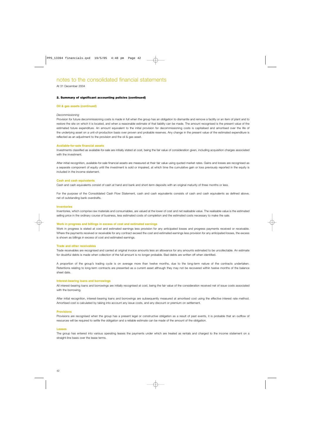At 31 December 2004

### **2. Summary of significant accounting policies (continued)**

### **Oil & gas assets (continued)**

### *Decommissioning*

Provision for future decommissioning costs is made in full when the group has an obligation to dismantle and remove a facility or an item of plant and to restore the site on which it is located, and when a reasonable estimate of that liability can be made. The amount recognised is the present value of the estimated future expenditure. An amount equivalent to the initial provision for decommissioning costs is capitalised and amortised over the life of the underlying asset on a unit-of-production basis over proven and probable reserves. Any change in the present value of the estimated expenditure is reflected as an adjustment to the provision and the oil & gas asset.

### **Available-for-sale financial assets**

Investments classified as available-for-sale are initially stated at cost, being the fair value of consideration given, including acquisition charges associated with the investment.

After initial recognition, available-for-sale financial assets are measured at their fair value using quoted market rates. Gains and losses are recognised as a separate component of equity until the investment is sold or impaired, at which time the cumulative gain or loss previously reported in the equity is included in the income statement.

### **Cash and cash equivalents**

Cash and cash equivalents consist of cash at hand and bank and short-term deposits with an original maturity of three months or less.

For the purpose of the Consolidated Cash Flow Statement, cash and cash equivalents consists of cash and cash equivalents as defined above, net of outstanding bank overdrafts.

### **Inventories**

Inventories, which comprise raw materials and consumables, are valued at the lower of cost and net realisable value. The realisable value is the estimated selling price in the ordinary course of business, less estimated costs of completion and the estimated costs necessary to make the sale.

### **Work in progress and billings in excess of cost and estimated earnings**

Work in progress is stated at cost and estimated earnings less provision for any anticipated losses and progress payments received or receivable. Where the payments received or receivable for any contract exceed the cost and estimated earnings less provision for any anticipated losses, the excess is shown as billings in excess of cost and estimated earnings.

### **Trade and other receivables**

Trade receivables are recognised and carried at original invoice amounts less an allowance for any amounts estimated to be uncollectable. An estimate for doubtful debts is made when collection of the full amount is no longer probable. Bad debts are written off when identified.

A proportion of the group's trading cycle is on average more than twelve months, due to the long-term nature of the contracts undertaken. Retentions relating to long-term contracts are presented as a current asset although they may not be recovered within twelve months of the balance sheet date.

### **Interest-bearing loans and borrowings**

All interest-bearing loans and borrowings are initially recognised at cost, being the fair value of the consideration received net of issue costs associated with the borrowing.

After initial recognition, interest-bearing loans and borrowings are subsequently measured at amortised cost using the effective interest rate method. Amortised cost is calculated by taking into account any issue costs, and any discount or premium on settlement.

### **Provisions**

Provisions are recognised when the group has a present legal or constructive obligation as a result of past events, it is probable that an outflow of resources will be required to settle the obligation and a reliable estimate can be made of the amount of the obligation.

### **Leases**

The group has entered into various operating leases the payments under which are treated as rentals and charged to the income statement on a straight-line basis over the lease terms.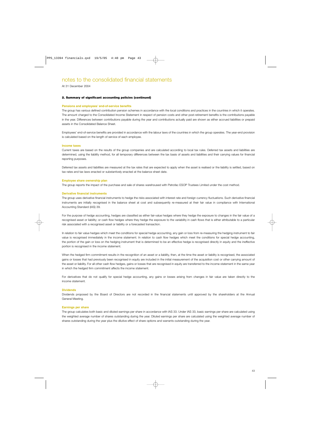At 31 December 2004

### **2. Summary of significant accounting policies (continued)**

### **Pensions and employees' end-of-service benefits**

The group has various defined contribution pension schemes in accordance with the local conditions and practices in the countries in which it operates. The amount charged to the Consolidated Income Statement in respect of pension costs and other post-retirement benefits is the contributions payable in the year. Differences between contributions payable during the year and contributions actually paid are shown as either accrued liabilities or prepaid assets in the Consolidated Balance Sheet.

Employees' end-of-service benefits are provided in accordance with the labour laws of the countries in which the group operates. The year-end provision is calculated based on the length of service of each employee.

### **Income taxes**

Current taxes are based on the results of the group companies and are calculated according to local tax rules. Deferred tax assets and liabilities are determined, using the liability method, for all temporary differences between the tax basis of assets and liabilities and their carrying values for financial reporting purposes.

Deferred tax assets and liabilities are measured at the tax rates that are expected to apply when the asset is realised or the liability is settled, based on tax rates and tax laws enacted or substantively enacted at the balance sheet date.

### **Employee share ownership plan**

The group reports the impact of the purchase and sale of shares warehoused with Petrofac ESOP Trustees Limited under the cost method.

### **Derivative financial instruments**

The group uses derivative financial instruments to hedge the risks associated with interest rate and foreign currency fluctuations. Such derivative financial instruments are initially recognised in the balance sheet at cost and subsequently re-measured at their fair value in compliance with International Accounting Standard (IAS) 39.

For the purpose of hedge accounting, hedges are classified as either fair-value hedges where they hedge the exposure to changes in the fair value of a recognised asset or liability; or cash flow hedges where they hedge the exposure to the variability in cash flows that is either attributable to a particular risk associated with a recognised asset or liability or a forecasted transaction.

In relation to fair value hedges which meet the conditions for special hedge accounting, any gain or loss from re-measuring the hedging instrument to fair value is recognised immediately in the income statement. In relation to cash flow hedges which meet the conditions for special hedge accounting, the portion of the gain or loss on the hedging instrument that is determined to be an effective hedge is recognised directly in equity and the ineffective portion is recognised in the income statement.

When the hedged firm commitment results in the recognition of an asset or a liability, then, at the time the asset or liability is recognised, the associated gains or losses that had previously been recognised in equity are included in the initial measurement of the acquisition cost or other carrying amount of the asset or liability. For all other cash flow hedges, gains or losses that are recognised in equity are transferred to the income statement in the same year in which the hedged firm commitment affects the income statement.

For derivatives that do not qualify for special hedge accounting, any gains or losses arising from changes in fair value are taken directly to the income statement.

### **Dividends**

Dividends proposed by the Board of Directors are not recorded in the financial statements until approved by the shareholders at the Annual General Meeting.

### **Earnings per share**

The group calculates both basic and diluted earnings per share in accordance with IAS 33. Under IAS 33, basic earnings per share are calculated using the weighted average number of shares outstanding during the year. Diluted earnings per share are calculated using the weighted average number of shares outstanding during the year plus the dilutive effect of share options and warrants outstanding during the year.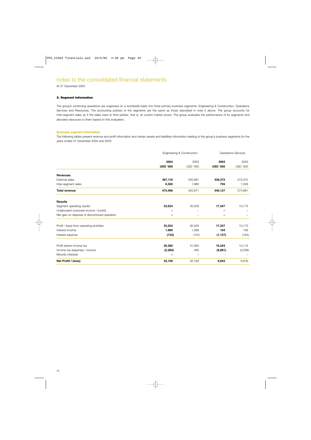At 31 December 2004

### **3. Segment information**

The group's continuing operations are organised on a worldwide basis into three primary business segments: Engineering & Construction, Operations Services and Resources. The accounting policies of the segments are the same as those described in note 2 above. The group accounts for inter-segment sales as if the sales were to third parties, that is, at current market prices. The group evaluates the performance of its segments and allocates resources to them based on this evaluation.

### **Business segment information**

The following tables present revenue and profit information and certain assets and liabilities information relating to the group's business segments for the years ended 31 December 2004 and 2003.

|                                                | Engineering & Construction |                 |                 | <b>Operations Services</b> |
|------------------------------------------------|----------------------------|-----------------|-----------------|----------------------------|
|                                                | 2004                       | 2003            | 2004            | 2003                       |
|                                                | <b>USD '000</b>            | <b>USD '000</b> | <b>USD '000</b> | <b>USD '000</b>            |
| <b>Revenues</b>                                |                            |                 |                 |                            |
| External sales                                 | 467,116                    | 340,891         | 439,372         | 273,372                    |
| Inter-segment sales                            | 6,350                      | 1,980           | 755             | 1,509                      |
| <b>Total revenue</b>                           | 473,466                    | 342,871         | 440,127         | 274,881                    |
| <b>Results</b>                                 |                            |                 |                 |                            |
| Segment operating results                      | 33,524                     | 30,529          | 17,347          | 10,173                     |
| Unallocated corporate income / (costs)         |                            |                 |                 |                            |
| Net gain on disposal of discontinued operation |                            |                 |                 |                            |
| Profit / (loss) from operating activities      | 33,524                     | 30,529          | 17,347          | 10,173                     |
| Interest income                                | 1,969                      | 1,268           | 104             | 106                        |
| Interest expense                               | (133)                      | (104)           | (1, 127)        | (164)                      |
| Profit before income tax                       | 35,360                     | 31,693          | 16,324          | 10,115                     |
| Income tax (expense) / income                  | (2, 260)                   | 490             | (6,681)         | (3,299)                    |
| Minority interests                             |                            |                 |                 |                            |
| Net Profit / (loss)                            | 33,100                     | 32,183          | 9,643           | 6,816                      |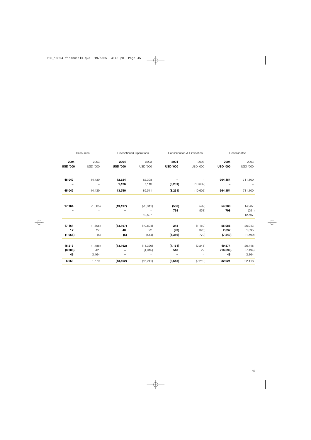| Resources       |                          | <b>Discontinued Operations</b> |           |                          | Consolidation & Elimination | Consolidated    |                 |  |
|-----------------|--------------------------|--------------------------------|-----------|--------------------------|-----------------------------|-----------------|-----------------|--|
| 2004            | 2003                     | 2004                           | 2003      | 2004                     | 2003                        | 2004            | 2003            |  |
| <b>USD '000</b> | USD '000                 | <b>USD '000</b>                | USD '000  | <b>USD '000</b>          | <b>USD '000</b>             | <b>USD '000</b> | <b>USD '000</b> |  |
| 45,042          | 14,439                   | 12,624                         | 82,398    |                          |                             | 964,154         | 711,100         |  |
|                 |                          | 1,126                          | 7,113     | (8, 231)                 | (10,602)                    |                 |                 |  |
| 45,042          | 14,439                   | 13,750                         | 89,511    | (8, 231)                 | (10,602)                    | 964,154         | 711,100         |  |
|                 |                          |                                |           |                          |                             |                 |                 |  |
| 17,164          | (1,805)                  | (13, 197)                      | (23, 311) | (550)                    | (599)                       | 54,288          | 14,987          |  |
|                 | -                        |                                |           | 798                      | (551)                       | 798             | (551)           |  |
| -               | $\overline{\phantom{m}}$ |                                | 12,507    | $\overline{\phantom{m}}$ | -                           |                 | 12,507          |  |
| 17,164          | (1,805)                  | (13, 197)                      | (10, 804) | 248                      | (1, 150)                    | 55,086          | 26,943          |  |
| 17              | 27                       | 40                             | 22        | (93)                     | (328)                       | 2,037           | 1,095           |  |
| (1,968)         | (8)                      | (5)                            | (544)     | (4, 316)                 | (770)                       | (7, 549)        | (1,590)         |  |
| 15,213          | (1,786)                  | (13, 162)                      | (11, 326) | (4, 161)                 | (2, 248)                    | 49,574          | 26,448          |  |
| (8,306)         | 201                      |                                | (4,915)   | 548                      | 29                          | (16, 699)       | (7, 494)        |  |
| 46              | 3,164                    | —                              |           |                          |                             | 46              | 3,164           |  |
| 6,953           | 1,579                    | (13, 162)                      | (16, 241) | (3,613)                  | (2, 219)                    | 32,921          | 22,118          |  |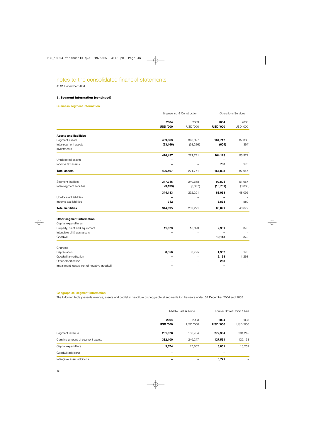At 31 December 2004

### **3. Segment information (continued)**

### **Business segment information**

|                                             | Engineering & Construction |                          | <b>Operations Services</b> |                   |  |
|---------------------------------------------|----------------------------|--------------------------|----------------------------|-------------------|--|
|                                             | 2004                       | 2003                     | 2004                       | 2003              |  |
|                                             | <b>USD '000</b>            | <b>USD '000</b>          | <b>USD '000</b>            | <b>USD '000</b>   |  |
| <b>Assets and liabilities</b>               |                            |                          |                            |                   |  |
| Segment assets                              | 489,663                    | 340,097                  | 164,717                    | 87,336            |  |
| Inter-segment assets                        | (63, 166)                  | (68, 326)                | (604)                      | (364)             |  |
| Investments                                 |                            |                          |                            |                   |  |
|                                             | 426,497                    | 271,771                  | 164,113                    | 86,972            |  |
| Unallocated assets                          |                            |                          |                            |                   |  |
| Income tax assets                           |                            |                          | 780                        | 975               |  |
| <b>Total assets</b>                         | 426,497                    | 271,771                  | 164,893                    | 87,947            |  |
| Segment liabilities                         | 347,316                    | 240,668                  | 99,804                     |                   |  |
| Inter-segment liabilities                   | (3, 133)                   | (8, 377)                 | (16, 751)                  | 51,957<br>(3,865) |  |
|                                             |                            |                          |                            |                   |  |
|                                             | 344,183                    | 232,291                  | 83,053                     | 48,092            |  |
| Unallocated liabilities                     |                            |                          |                            |                   |  |
| Income tax liabilities                      | 712                        |                          | 3,838                      | 580               |  |
| <b>Total liabilities</b>                    | 344,895                    | 232,291                  | 86,891                     | 48,672            |  |
| Other segment information                   |                            |                          |                            |                   |  |
| Capital expenditures:                       |                            |                          |                            |                   |  |
| Property, plant and equipment               | 11,673                     | 16,893                   | 2,931                      | 370               |  |
| Intangible oil & gas assets                 |                            |                          |                            |                   |  |
| Goodwill                                    |                            | $\overline{\phantom{0}}$ | 19,118                     | 373               |  |
| Charges:                                    |                            |                          |                            |                   |  |
| Depreciation                                | 8,356                      | 3,725                    | 1,357                      | 173               |  |
| Goodwill amortisation                       |                            |                          | 2,168                      | 1,268             |  |
| Other amortisation                          |                            |                          | 263                        |                   |  |
| Impairment losses, net of negative goodwill |                            |                          |                            |                   |  |

### **Geographical segment information**

The following table presents revenue, assets and capital expenditure by geographical segments for the years ended 31 December 2004 and 2003.

|                                   | Middle East & Africa |                 | Former Soviet Union / Asia |                          |
|-----------------------------------|----------------------|-----------------|----------------------------|--------------------------|
|                                   | 2004                 | 2003            | 2004                       | 2003                     |
|                                   | <b>USD '000</b>      | <b>USD '000</b> | <b>USD '000</b>            | <b>USD '000</b>          |
| Segment revenue                   | 281,678              | 186,734         | 272,384                    | 204,245                  |
| Carrying amount of segment assets | 382,100              | 246.247         | 127,561                    | 125,138                  |
| Capital expenditure               | 5,674                | 17,652          | 8,851                      | 16,259                   |
| Goodwill additions                |                      | -               |                            |                          |
| Intangible asset additions        |                      |                 | 6,721                      | $\overline{\phantom{0}}$ |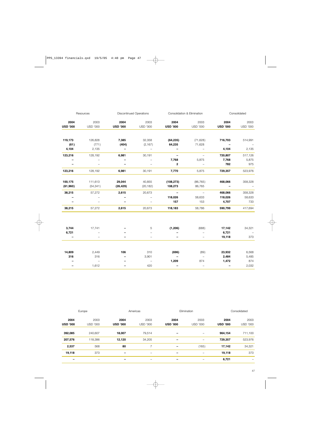|                 | Resources                |                          | <b>Discontinued Operations</b> |                          | Consolidation & Elimination |                          | Consolidated             |
|-----------------|--------------------------|--------------------------|--------------------------------|--------------------------|-----------------------------|--------------------------|--------------------------|
| 2004            | 2003                     | 2004                     | 2003                           | 2004                     | 2003                        | 2004                     | 2003                     |
| <b>USD '000</b> | <b>USD '000</b>          | <b>USD '000</b>          | USD '000                       | <b>USD '000</b>          | <b>USD '000</b>             | <b>USD '000</b>          | <b>USD '000</b>          |
|                 |                          |                          |                                |                          |                             |                          |                          |
| 119,173         | 126,828                  | 7,385                    | 32,358                         | (64, 235)                | (71, 628)                   | 716,703                  | 514,991                  |
| (61)            | (771)                    | (404)                    | (2, 167)                       | 64,235                   | 71,628                      | $\qquad \qquad -$        |                          |
| 4,104           | 2,135                    | $\overline{\phantom{a}}$ | $\overline{\phantom{a}}$       |                          | $\overline{\phantom{m}}$    | 4,104                    | 2,135                    |
| 123,216         | 128,192                  | 6,981                    | 30,191                         | $\qquad \qquad -$        | $\overline{\phantom{a}}$    | 720,807                  | 517,126                  |
|                 |                          |                          | $\overline{\phantom{m}}$       | 7,768                    | 5,875                       | 7,768                    | 5,875                    |
|                 |                          |                          | $\overline{\phantom{a}}$       | $\overline{2}$           | $\overline{\phantom{a}}$    | 782                      | 975                      |
| 123,216         | 128,192                  | 6,981                    | 30,191                         | 7,770                    | 5,875                       | 729,357                  | 523,976                  |
| 100,175         | 111,613                  | 29,044                   | 40,855                         | (108, 273)               | (86, 765)                   | 468,066                  | 358,328                  |
| (61,960)        | (54, 341)                | (26, 429)                | (20, 182)                      | 108,273                  | 86,765                      | $\overline{\phantom{m}}$ | $\overline{\phantom{a}}$ |
| 38,215          | 57,272                   | 2,615                    | 20,673                         | $\overline{\phantom{a}}$ | $\sim$ $-$                  | 468,066                  | 358,328                  |
|                 |                          |                          |                                | 118,026                  | 58,633                      | 118,026                  | 58,633                   |
|                 |                          |                          | $\overline{\phantom{m}}$       | 157                      | 153                         | 4,707                    | 733                      |
| 38,215          | 57,272                   | 2,615                    | 20,673                         | 118,183                  | 58,786                      | 590,799                  | 417,694                  |
|                 |                          |                          |                                |                          |                             |                          |                          |
| 3,744           | 17,741                   |                          | 5                              | (1, 206)                 | (688)                       | 17,142                   | 34,321                   |
| 6,721           |                          |                          |                                |                          | $\overline{\phantom{0}}$    | 6,721                    | $\overline{\phantom{a}}$ |
| $\qquad \qquad$ |                          |                          | $\overline{\phantom{0}}$       | $\overline{\phantom{0}}$ | $\overline{\phantom{a}}$    | 19,118                   | 373                      |
|                 |                          |                          |                                |                          |                             |                          |                          |
| 14,809          | 2,449                    | 106                      | 310                            | (696)                    | (89)                        | 23,932                   | 6,568                    |
| 316             | 316                      |                          | 3,901                          |                          | $\overline{\phantom{a}}$    | 2,484                    | 5,485                    |
|                 | $\overline{\phantom{m}}$ |                          | $\overline{\phantom{m}}$       | 1,209                    | 874                         | 1,472                    | 874                      |
|                 | 1,612                    |                          | 420                            |                          | $\overline{\phantom{0}}$    | $\overline{\phantom{0}}$ | 2,032                    |

|                 | Europe          |                 | Americas                 | Elimination              |                 |                 | Consolidated             |
|-----------------|-----------------|-----------------|--------------------------|--------------------------|-----------------|-----------------|--------------------------|
| 2004            | 2003            | 2004            | 2003                     | 2004                     | 2003            | 2004            | 2003                     |
| <b>USD '000</b> | <b>USD '000</b> | <b>USD '000</b> | <b>USD '000</b>          | <b>USD '000</b>          | <b>USD '000</b> | <b>USD '000</b> | <b>USD '000</b>          |
| 392,085         | 240,607         | 18,007          | 79,514                   |                          | -               | 964,154         | 711,100                  |
| 207,576         | 118,386         | 12,120          | 34,205                   |                          | -               | 729,357         | 523,976                  |
| 2,537           | 568             | 80              | $\overline{z}$           | $\overline{\phantom{0}}$ | (165)           | 17,142          | 34,321                   |
| 19,118          | 373             | $\qquad \qquad$ | $\overline{\phantom{0}}$ |                          | -               | 19,118          | 373                      |
|                 | -               | -               | $\overline{\phantom{0}}$ |                          |                 | 6,721           | $\overline{\phantom{0}}$ |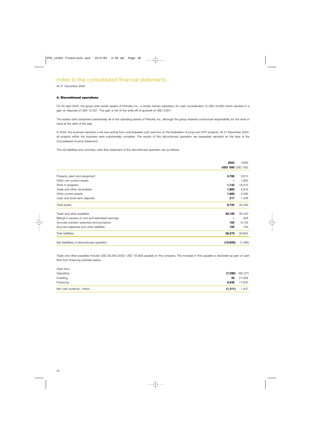At 31 December 2004

### **4. Discontinued operations**

On 29 April 2003, the group sold certain assets of Petrofac Inc., a wholly owned subsidiary, for cash consideration of USD 25,600 which resulted in a gain on disposal of USD 12,507. This gain is net of the write-off of goodwill of USD 3,901.

The assets sold comprised substantially all of the operating assets of Petrofac Inc. although the group retained contractual responsibility for the work in hand at the date of the sale.

In 2004, the business reported a net loss arising from unanticipated cost overruns on the finalisation of lump sum EPC projects. At 31 December 2004, all projects within the business were substantially complete. The results of this discontinued operation are separately reported on the face of the Consolidated Income Statement.

The net liabilities and summary cash flow statement of the discontinued operation are as follows:

|                                                   | 2004                         | 2003     |
|---------------------------------------------------|------------------------------|----------|
|                                                   | <b>USD '000 USD '000</b>     |          |
|                                                   |                              |          |
| Property, plant and equipment                     | 3,706                        | 3,812    |
| Other non-current assets                          | $\qquad \qquad \blacksquare$ | 1,800    |
| Work in progress                                  | 1,132                        | 18,373   |
| Trade and other receivables                       | 1,865                        | 4,679    |
| Other current assets                              | 1,800                        | 2,266    |
| Cash and short-term deposits                      | 217                          | 1,428    |
| Total assets                                      | 8,720                        | 32,358   |
| Trade and other payables                          | 28,109                       | 30,423   |
| Billings in excess of cost and estimated earnings |                              | 529      |
| Accrued contract expenses and provisions          | 165                          | 8,143    |
| Accrued expenses and other liabilities            | 105                          | 759      |
| <b>Total liabilities</b>                          | 28,379                       | 39,854   |
| Net (liabilities) of discontinued operation       | (19, 659)                    | (7, 496) |

Trade and other payables include USD 26,290 (2003: USD 19,000) payable to the company. The increase in this payable is disclosed as part of cash flow from financing activities below.

| Net cash (outflow) / inflow | (1,211) | 1,407                |
|-----------------------------|---------|----------------------|
| Financing                   | 6,048   | 17,635               |
| Investing                   | 39      | 21,929               |
| Operating                   |         | $(7,298)$ $(38,157)$ |
| Cash flow:                  |         |                      |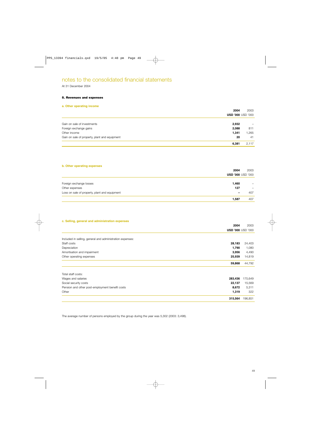### At 31 December 2004

### **5. Revenues and expenses**

### **a. Other operating income**

|                                               | 2004                     | 2003  |
|-----------------------------------------------|--------------------------|-------|
|                                               | <b>USD '000 USD '000</b> |       |
| Gain on sale of investments                   | 2,932                    | -     |
| Foreign exchange gains                        | 2,088                    | 811   |
| Other income                                  | 1,341                    | 1,265 |
| Gain on sale of property, plant and equipment | 20                       | 41    |
|                                               | 6,381                    | 2,117 |
|                                               |                          |       |

### **b. Other operating expenses**

|                                               | 2004                     | 2003              |
|-----------------------------------------------|--------------------------|-------------------|
|                                               | <b>USD '000 USD '000</b> |                   |
| Foreign exchange losses                       | 1,460                    | $\qquad \qquad -$ |
| Other expenses                                | 127                      |                   |
| Loss on sale of property, plant and equipment |                          | 407               |
|                                               | 1,587                    | 407               |

### **c. Selling, general and administration expenses**

|                                                           | 2004    | 2003                     |
|-----------------------------------------------------------|---------|--------------------------|
|                                                           |         | <b>USD '000 USD '000</b> |
| Included in selling, general and administration expenses: |         |                          |
| Staff costs                                               | 28,183  | 24,403                   |
| Depreciation                                              | 1,790   | 1,080                    |
| Amortisation and impairment                               | 3,956   | 4,490                    |
| Other operating expenses                                  | 25,939  | 14,819                   |
|                                                           | 59,868  | 44,792                   |
| Total staff costs:                                        |         |                          |
| Wages and salaries                                        | 283,436 | 175,649                  |
| Social security costs                                     | 22,137  | 15,569                   |
| Pension and other post-employment benefit costs           | 8,672   | 5,311                    |
| Other                                                     | 1,319   | 322                      |
|                                                           | 315,564 | 196,851                  |

The average number of persons employed by the group during the year was 5,302 (2003: 3,498).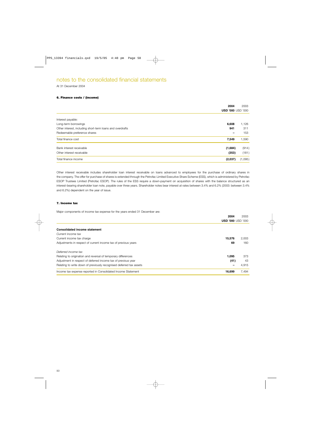At 31 December 2004

### **6. Finance costs / (income)**

|                                                           | 2004                     | 2003    |
|-----------------------------------------------------------|--------------------------|---------|
|                                                           | <b>USD '000 USD '000</b> |         |
| Interest payable:                                         |                          |         |
| Long-term borrowings                                      | 6,608                    | 1,126   |
| Other interest, including short-term loans and overdrafts | 941                      | 311     |
| Redeemable preference shares                              |                          | 153     |
| Total finance cost                                        | 7,549                    | 1,590   |
| Bank interest receivable                                  | (1,684)                  | (914)   |
| Other interest receivable                                 | (353)                    | (181)   |
| Total finance income                                      | (2,037)                  | (1,095) |

Other interest receivable includes shareholder loan interest receivable on loans advanced to employees for the purchase of ordinary shares in the company. The offer for purchase of shares is extended through the Petrofac Limited Executive Share Scheme (ESS), which is administered by Petrofac ESOP Trustees Limited (Petrofac ESOP). The rules of the ESS require a down-payment on acquisition of shares with the balance structured as an interest-bearing shareholder loan note, payable over three years. Shareholder notes bear interest at rates between 3.4% and 6.2% (2003: between 3.4% and 6.2%) dependent on the year of issue.

### **7. Income tax**

Major components of income tax expense for the years ended 31 December are:

|                                                                     | 2004                     | 2003  |
|---------------------------------------------------------------------|--------------------------|-------|
|                                                                     | <b>USD '000 USD '000</b> |       |
|                                                                     |                          |       |
| <b>Consolidated income statement</b>                                |                          |       |
| Current income tax                                                  |                          |       |
| Current income tax charge                                           | 15,576                   | 2,003 |
| Adjustments in respect of current income tax of previous years      | 69                       | 160   |
| Deferred income tax                                                 |                          |       |
| Relating to origination and reversal of temporary differences       | 1.095                    | 373   |
| Adjustment in respect of deferred income tax of previous year       | (41)                     | 43    |
| Relating to write down of previously recognised deferred tax assets |                          | 4.915 |
| Income tax expense reported in Consolidated Income Statement        | 16,699                   | 7,494 |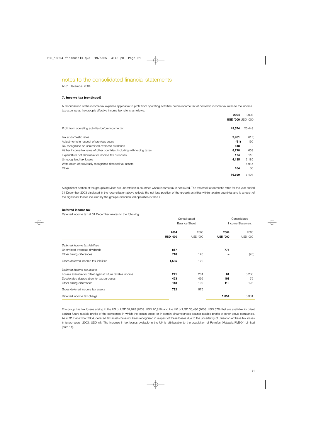At 31 December 2004

### **7. Income tax (continued)**

A reconciliation of the income tax expense applicable to profit from operating activities before income tax at domestic income tax rates to the income tax expense at the group's effective income tax rate is as follows:

|                                                                         | 2004                     | 2003              |
|-------------------------------------------------------------------------|--------------------------|-------------------|
|                                                                         | <b>USD '000 USD '000</b> |                   |
| Profit from operating activities before income tax                      | 49,574                   | 26,448            |
|                                                                         |                          |                   |
| Tax at domestic rates                                                   | 2,981                    | (617)             |
| Adjustments in respect of previous years                                | (91)                     | 160               |
| Tax recognised on unremitted overseas dividends                         | 618                      | $\qquad \qquad -$ |
| Higher income tax rates of other countries, including withholding taxes | 8,718                    | 658               |
| Expenditure not allowable for income tax purposes                       | 174                      | 113               |
| Unrecognised tax losses                                                 | 4,135                    | 2,185             |
| Write down of previously recognised deferred tax assets                 |                          | 4,915             |
| Other                                                                   | 164                      | 80                |
|                                                                         | 16,699                   | 7,494             |

A significant portion of the group's activities are undertaken in countries where income tax is not levied. The tax credit at domestic rates for the year ended 31 December 2003 disclosed in the reconciliation above reflects the net loss position of the group's activities within taxable countries and is a result of the significant losses incurred by the group's discontinued operation in the US.

### **Deferred income tax**

Deferred income tax at 31 December relates to the following:

|                                                           | Consolidated<br><b>Balance Sheet</b> |                 |                 | Consolidated<br>Income Statement |
|-----------------------------------------------------------|--------------------------------------|-----------------|-----------------|----------------------------------|
|                                                           | 2004                                 | 2003            | 2004            | 2003                             |
|                                                           | <b>USD '000</b>                      | <b>USD '000</b> | <b>USD '000</b> | <b>USD '000</b>                  |
| Deferred income tax liabilities                           |                                      |                 |                 |                                  |
| Unremitted overseas dividends                             | 817                                  |                 | 775             |                                  |
| Other timing differences                                  | 718                                  | 120             |                 | (78)                             |
| Gross deferred income tax liabilities                     | 1,535                                | 120             |                 |                                  |
| Deferred income tax assets                                |                                      |                 |                 |                                  |
| Losses available for offset against future taxable income | 241                                  | 281             | 61              | 5,206                            |
| Decelerated depreciation for tax purposes                 | 423                                  | 495             | 108             | 75                               |
| Other timing differences                                  | 118                                  | 199             | 110             | 128                              |
| Gross deferred income tax assets                          | 782                                  | 975             |                 |                                  |
| Deferred income tax charge                                |                                      |                 | 1,054           | 5,331                            |

The group has tax losses arising in the US of USD 32,978 (2003: USD 20,816) and the UK of USD 36,480 (2003: USD 678) that are available for offset against future taxable profits of the companies in which the losses arose, or in certain circumstances against taxable profits of other group companies. As at 31 December 2004, deferred tax assets have not been recognised in respect of these losses due to the uncertainty of utilisation of these tax losses in future years (2003: USD nil). The increase in tax losses available in the UK is attributable to the acquisition of Petrofac (Malaysia-PM304) Limited (note 11).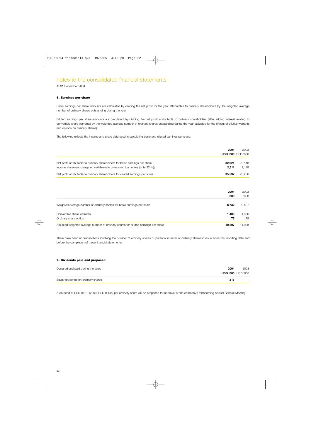At 31 December 2004

### **8. Earnings per share**

Basic earnings per share amounts are calculated by dividing the net profit for the year attributable to ordinary shareholders by the weighted average number of ordinary shares outstanding during the year.

Diluted earnings per share amounts are calculated by dividing the net profit attributable to ordinary shareholders (after adding interest relating to convertible share warrants) by the weighted average number of ordinary shares outstanding during the year (adjusted for the effects of dilutive warrants and options on ordinary shares).

The following reflects the income and share data used in calculating basic and diluted earnings per share:

|                                                                                 | 2004   | 2003<br><b>USD '000 USD '000</b> |
|---------------------------------------------------------------------------------|--------|----------------------------------|
| Net profit attributable to ordinary shareholders for basic earnings per share   | 32.921 | 22.118                           |
| Income statement charge on variable-rate unsecured loan notes (note 22 (vi))    | 2.611  | 1.118                            |
| Net profit attributable to ordinary shareholders for diluted earnings per share | 35.532 | 23.236                           |

|                                                                                    | 2004<br>'000' | 2003<br>'000' |
|------------------------------------------------------------------------------------|---------------|---------------|
| Weighted average number of ordinary shares for basic earnings per share            | 8,732         | 9,597         |
| Convertible share warrants<br>Ordinary share option                                | 1.400<br>75   | 1,366<br>75   |
| Adjusted weighted average number of ordinary shares for diluted earnings per share | 10,207        | 11,038        |

There have been no transactions involving the number of ordinary shares or potential number of ordinary shares in issue since the reporting date and before the completion of these financial statements.

### **9. Dividends paid and proposed**

| Declared and paid during the year:  | 2004  | 2003                     |
|-------------------------------------|-------|--------------------------|
|                                     |       | <b>USD '000 USD '000</b> |
| Equity dividends on ordinary shares | 1.315 | $\qquad \qquad -$        |

A dividend of USD 0.919 (2003: USD 0.145) per ordinary share will be proposed for approval at the company's forthcoming Annual General Meeting.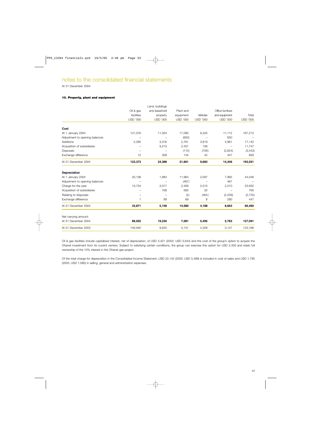At 31 December 2004

### **10. Property, plant and equipment**

|                                |                 | Land, buildings |                 |                 |                  |                 |
|--------------------------------|-----------------|-----------------|-----------------|-----------------|------------------|-----------------|
|                                | Oil & gas       | and leasehold   | Plant and       |                 | Office furniture |                 |
|                                | facilities      | property        | equipment       | Vehicles        | and equipment    | Total           |
|                                | <b>USD '000</b> | <b>USD '000</b> | <b>USD '000</b> | <b>USD '000</b> | <b>USD '000</b>  | <b>USD '000</b> |
| Cost                           |                 |                 |                 |                 |                  |                 |
| At 1 January 2004              | 121,076         | 11,504          | 17,095          | 6,425           | 11,112           | 167,212         |
| Adjustment to opening balances |                 |                 | (650)           |                 | 650              |                 |
| Additions                      | 2,285           | 3,316           | 2,761           | 3,819           | 4,961            | 17,142          |
| Acquisition of subsidiaries    |                 | 9,210           | 2,431           | 106             |                  | 11,747          |
| <b>Disposals</b>               |                 |                 | (110)           | (709)           | (2,624)          | (3, 443)        |
| Exchange difference            | 12              | 358             | 134             | 42              | 347              | 893             |
| At 31 December 2004            | 123,373         | 24,388          | 21,661          | 9,683           | 14,446           | 193,551         |
| <b>Depreciation</b>            |                 |                 |                 |                 |                  |                 |
| At 1 January 2004              | 20,136          | 1,884           | 11,964          | 2,097           | 7,965            | 44,046          |
| Adjustment to opening balances |                 |                 | (467)           |                 | 467              |                 |
| Charge for the year            | 13,734          | 3,017           | 2,456           | 2,515           | 2,210            | 23,932          |
| Acquisition of subsidiaries    |                 | 168             | 560             | 32              |                  | 760             |
| Relating to disposals          |                 |                 | (2)             | (464)           | (2, 259)         | (2, 725)        |
| Exchange difference            | 1               | 89              | 69              | 8               | 280              | 447             |
| At 31 December 2004            | 33,871          | 5,158           | 14,580          | 4,188           | 8,663            | 66,460          |
| Net carrying amount:           |                 |                 |                 |                 |                  |                 |
| At 31 December 2004            | 89,502          | 19,230          | 7,081           | 5,495           | 5,783            | 127,091         |
| At 31 December 2003            | 100,940         | 9,620           | 5,131           | 4,328           | 3,147            | 123,166         |
|                                |                 |                 |                 |                 |                  |                 |

Oil & gas facilities include capitalised interest, net of depreciation, of USD 3,421 (2003: USD 3,944) and the cost of the group's option to acquire the Ohanet investment from its current owners. Subject to satisfying certain conditions, the group can exercise this option for USD 2,400 and retain full ownership of the 10% interest in the Ohanet gas project.

Of the total charge for depreciation in the Consolidated Income Statement, USD 22,142 (2003: USD 5,488) is included in cost of sales and USD 1,790 (2003: USD 1,080) in selling, general and administration expenses.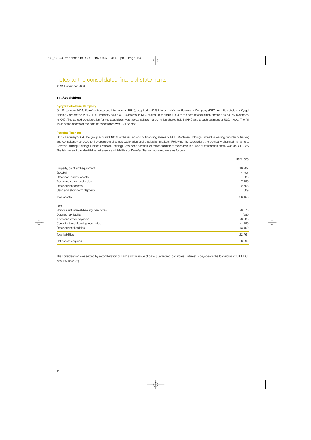At 31 December 2004

### **11. Acquisitions**

### **Kyrgyz Petroleum Company**

On 29 January 2004, Petrofac Resources International (PRIL), acquired a 50% interest in Kyrgyz Petroleum Company (KPC) from its subsidiary Kyrgoil Holding Corporation (KHC). PRIL indirectly held a 32.1% interest in KPC during 2003 and in 2004 to the date of acquisition, through its 64.2% investment in KHC. The agreed consideration for the acquisition was the cancellation of 50 million shares held in KHC and a cash payment of USD 1,000. The fair value of the shares at the date of cancellation was USD 3,562.

### **Petrofac Training**

On 12 February 2004, the group acquired 100% of the issued and outstanding shares of RGIT Montrose Holdings Limited, a leading provider of training and consultancy services to the upstream oil & gas exploration and production markets. Following the acquisition, the company changed its name to Petrofac Training Holdings Limited (Petrofac Training). Total consideration for the acquisition of the shares, inclusive of transaction costs, was USD 17,236. The fair value of the identifiable net assets and liabilities of Petrofac Training acquired were as follows:

|                                         | <b>USD '000</b> |
|-----------------------------------------|-----------------|
|                                         |                 |
| Property, plant and equipment           | 10,987          |
| Goodwill                                | 4,707           |
| Other non-current assets                | 386             |
| Trade and other receivables             | 7,259           |
| Other current assets                    | 2,508           |
| Cash and short-term deposits            | 609             |
| Total assets                            | 26,456          |
| Less:                                   |                 |
| Non-current interest-bearing loan notes | (8,678)         |
| Deferred tax liability                  | (580)           |
| Trade and other payables                | (8,938)         |
| Current interest-bearing loan notes     | (1, 159)        |
| Other current liabilities               | (3,409)         |
| <b>Total liabilities</b>                | (22, 764)       |
| Net assets acquired                     | 3,692           |

The consideration was settled by a combination of cash and the issue of bank guaranteed loan notes. Interest is payable on the loan notes at UK LIBOR less 1% (note 22).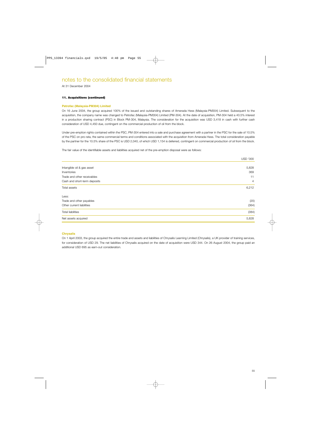At 31 December 2004

### **11. Acquisitions (continued)**

### **Petrofac (Malaysia-PM304) Limited**

On 16 June 2004, the group acquired 100% of the issued and outstanding shares of Amerada Hess (Malaysia-PM304) Limited. Subsequent to the acquisition, the company name was changed to Petrofac (Malaysia-PM304) Limited (PM-304). At the date of acquisition, PM-304 held a 40.5% interest in a production sharing contract (PSC) in Block PM-304, Malaysia. The consideration for the acquisition was USD 3,418 in cash with further cash consideration of USD 4,450 due, contingent on the commercial production of oil from the block.

Under pre-emption rights contained within the PSC, PM-304 entered into a sale and purchase agreement with a partner in the PSC for the sale of 10.5% of the PSC on pro rata, the same commercial terms and conditions associated with the acquisition from Amerada Hess. The total consideration payable by the partner for the 10.5% share of the PSC is USD 2,040, of which USD 1,154 is deferred, contingent on commercial production of oil from the block.

The fair value of the identifiable assets and liabilities acquired net of the pre-emption disposal were as follows:

|                              | <b>USD '000</b> |
|------------------------------|-----------------|
|                              |                 |
| Intangible oil & gas asset   | 5,828           |
| Inventories                  | 369             |
| Trade and other receivables  | 11              |
| Cash and short-term deposits | $\overline{4}$  |
| Total assets                 | 6,212           |
| Less:                        |                 |
| Trade and other payables     | (20)            |
| Other current liabilities    | (364)           |
| <b>Total liabilities</b>     | (384)           |
| Net assets acquired          | 5,828           |
|                              |                 |

### **Chrysalis**

On 1 April 2003, the group acquired the entire trade and assets and liabilities of Chrysalis Learning Limited (Chrysalis), a UK provider of training services, for consideration of USD 29. The net liabilities of Chrysalis acquired on the date of acquisition were USD 344. On 26 August 2004, the group paid an additional USD 695 as earn-out consideration.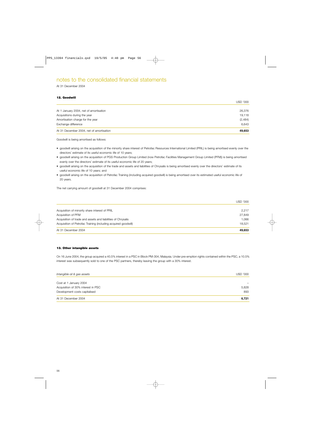At 31 December 2004

### **12. Goodwill**

|                                          | USD '000 |
|------------------------------------------|----------|
| At 1 January 2004, net of amortisation   | 26,376   |
| Acquisitions during the year             | 19,118   |
| Amortisation charge for the year         | (2,484)  |
| Exchange difference                      | 6,643    |
| At 31 December 2004, net of amortisation | 49,653   |

Goodwill is being amortised as follows:

- goodwill arising on the acquisition of the minority share interest of Petrofac Resources International Limited (PRIL) is being amortised evenly over the directors' estimate of its useful economic life of 10 years;
- goodwill arising on the acquisition of PGS Production Group Limited (now Petrofac Facilities Management Group Limited (PFM)) is being amortised evenly over the directors' estimate of its useful economic life of 20 years;
- goodwill arising on the acquisition of the trade and assets and liabilities of Chrysalis is being amortised evenly over the directors' estimate of its useful economic life of 10 years; and
- goodwill arising on the acquisition of Petrofac Training (including acquired goodwill) is being amortised over its estimated useful economic life of 20 years.

The net carrying amount of goodwill at 31 December 2004 comprises:

|                                                                | <b>USD '000</b> |
|----------------------------------------------------------------|-----------------|
| Acquisition of minority share interest of PRIL                 | 2.217           |
| Acquisition of PFM                                             | 27,849          |
| Acquisition of trade and assets and liabilities of Chrysalis   | 1.066           |
| Acquisition of Petrofac Training (including acquired goodwill) | 18.521          |
| At 31 December 2004                                            | 49,653          |

### **13. Other intangible assets**

On 16 June 2004, the group acquired a 40.5% interest in a PSC in Block PM-304, Malaysia. Under pre-emption rights contained within the PSC, a 10.5% interest was subsequently sold to one of the PSC partners, thereby leaving the group with a 30% interest.

| Intangible oil & gas assets        | USD '000 |
|------------------------------------|----------|
| Cost at 1 January 2004             | -        |
| Acquisition of 30% interest in PSC | 5,828    |
| Development costs capitalised      | 893      |
| At 31 December 2004                | 6,721    |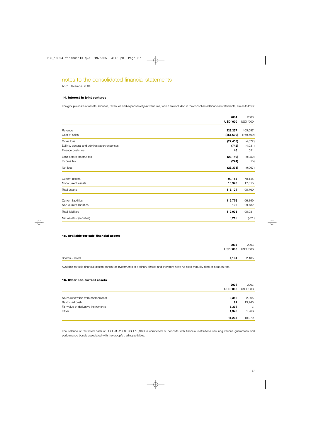At 31 December 2004

### **14. Interest in joint ventures**

The group's share of assets, liabilities, revenues and expenses of joint ventures, which are included in the consolidated financial statements, are as follows:

|                                              | 2004            | 2003            |
|----------------------------------------------|-----------------|-----------------|
|                                              | <b>USD '000</b> | <b>USD '000</b> |
| Revenue                                      | 229,237         | 165,097         |
| Cost of sales                                | (251, 690)      | (169, 769)      |
| Gross loss                                   | (22, 453)       | (4,672)         |
| Selling, general and administration expenses | (742)           | (4,931)         |
| Finance costs, net                           | 46              | 551             |
| Loss before income tax                       | (23, 149)       | (9,052)         |
| Income tax                                   | (224)           | (15)            |
| Net loss                                     | (23, 373)       | (9,067)         |
| Current assets                               | 99,154          | 78,145          |
| Non-current assets                           | 16,970          | 17,615          |
| Total assets                                 | 116,124         | 95,760          |
| <b>Current liabilities</b>                   | 112,776         | 66,199          |
| Non-current liabilities                      | 132             | 29,782          |
| <b>Total liabilities</b>                     | 112,908         | 95,981          |
| Net assets / (liabilities)                   | 3,216           | (221)           |

### **15. Available-for-sale financial assets**

|                 | 2004                     | 2003  |
|-----------------|--------------------------|-------|
|                 | <b>USD '000</b> USD '000 |       |
|                 |                          |       |
| Shares - listed | 4,104                    | 2,135 |

Available-for-sale financial assets consist of investments in ordinary shares and therefore have no fixed maturity date or coupon rate.

### **16. Other non-current assets**

|                                      | 2004            | 2003     |
|--------------------------------------|-----------------|----------|
|                                      | <b>USD '000</b> | USD '000 |
|                                      |                 |          |
| Notes receivable from shareholders   | 3,342           | 2,865    |
| Restricted cash                      | 91              | 13,945   |
| Fair value of derivative instruments | 6,394           | 3        |
| Other                                | 1,378           | 1,266    |
|                                      | 11,205          | 18,079   |

The balance of restricted cash of USD 91 (2003: USD 13,945) is comprised of deposits with financial institutions securing various guarantees and performance bonds associated with the group's trading activities.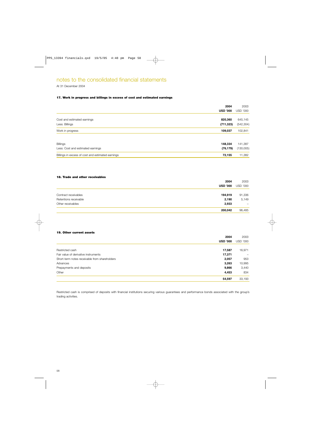At 31 December 2004

### **17. Work in progress and billings in excess of cost and estimated earnings**

|                                                      | 2004<br><b>USD '000</b> | 2003<br><b>USD '000</b> |
|------------------------------------------------------|-------------------------|-------------------------|
| Cost and estimated earnings<br>Less: Billings        | 820,360<br>(711, 323)   | 645,145<br>(542, 304)   |
| Work in progress                                     | 109,037                 | 102,841                 |
| <b>Billings</b><br>Less: Cost and estimated earnings | 148,334<br>(76, 179)    | 141,387<br>(130,005)    |
| Billings in excess of cost and estimated earnings    | 72,155                  | 11,382                  |

### **18. Trade and other receivables**

|                       | 2004            | 2003            |
|-----------------------|-----------------|-----------------|
|                       | <b>USD '000</b> | <b>USD '000</b> |
|                       |                 |                 |
| Contract receivables  | 194,919         | 91,336          |
| Retentions receivable | 2.190           | 5,149           |
| Other receivables     | 2,933           | -               |
|                       | 200,042         | 96,485          |

### **19. Other current assets**

| 2004                                                   | 2003     |
|--------------------------------------------------------|----------|
| <b>USD '000</b>                                        | USD '000 |
|                                                        |          |
| Restricted cash<br>17,587                              | 16,971   |
| Fair value of derivative instruments<br>17,371         |          |
| Short-term notes receivable from shareholders<br>2,057 | 953      |
| 3,263<br>Advances                                      | 10,995   |
| Prepayments and deposits<br>9,866                      | 3,440    |
| Other<br>4,453                                         | 834      |
| 54,597                                                 | 33,193   |

Restricted cash is comprised of deposits with financial institutions securing various guarantees and performance bonds associated with the group's trading activities.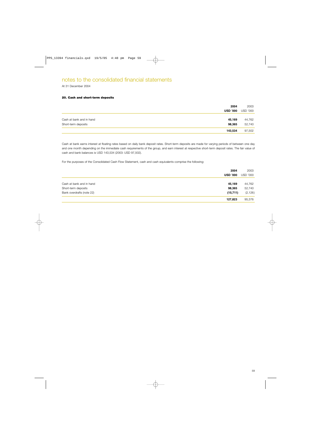At 31 December 2004

### **20. Cash and short-term deposits**

|                          | 2004            | 2003            |
|--------------------------|-----------------|-----------------|
|                          | <b>USD '000</b> | <b>USD '000</b> |
|                          |                 |                 |
| Cash at bank and in hand | 45,169          | 44,762          |
| Short-term deposits      | 98,365          | 52,740          |
|                          | 143,534         | 97,502          |

Cash at bank earns interest at floating rates based on daily bank deposit rates. Short-term deposits are made for varying periods of between one day and one month depending on the immediate cash requirements of the group, and earn interest at respective short-term deposit rates. The fair value of cash and bank balances is USD 143,534 (2003: USD 97,502).

For the purposes of the Consolidated Cash Flow Statement, cash and cash equivalents comprise the following:

|                           | 2004<br><b>USD '000</b> | 2003<br>USD '000 |
|---------------------------|-------------------------|------------------|
|                           |                         |                  |
| Cash at bank and in hand  | 45,169                  | 44,762           |
| Short-term deposits       | 98,365                  | 52,740           |
| Bank overdrafts (note 22) | (15, 711)               | (2, 126)         |
|                           | 127,823                 | 95,376           |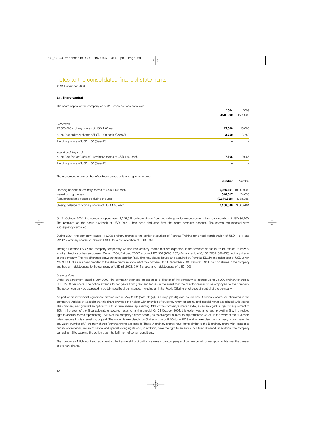At 31 December 2004

### **21. Share capital**

The share capital of the company as at 31 December was as follows:

|                                                                          | 2004            | 2003            |
|--------------------------------------------------------------------------|-----------------|-----------------|
|                                                                          | <b>USD '000</b> | <b>USD '000</b> |
| Authorised                                                               |                 |                 |
| 15,000,000 ordinary shares of USD 1.00 each                              | 15,000          | 15,000          |
| 3,750,000 ordinary shares of USD 1.00 each (Class A)                     | 3,750           | 3,750           |
| 1 ordinary share of USD 1.00 (Class B)                                   |                 |                 |
| Issued and fully paid                                                    |                 |                 |
| 7,166,330 (2003: 9,066,401) ordinary shares of USD 1.00 each             | 7,166           | 9,066           |
| 1 ordinary share of USD 1.00 (Class B)                                   |                 |                 |
| The movement in the number of ordinary shares outstanding is as follows: |                 |                 |
|                                                                          | <b>Number</b>   | Number          |
| Opening balance of ordinary shares of USD 1.00 each                      | 9,066,401       | 10,000,000      |
| Issued during the year                                                   | 346,617         | 54,656          |
| Repurchased and cancelled during the year                                | (2, 246, 688)   | (988, 255)      |
| Closing balance of ordinary shares of USD 1.00 each                      | 7,166,330       | 9,066,401       |

On 21 October 2004, the company repurchased 2,246,688 ordinary shares from two retiring senior executives for a total consideration of USD 30,760. The premium on the share buy-back of USD 28,513 has been deducted from the share premium account. The shares repurchased were subsequently cancelled.

During 2004, the company issued 115,000 ordinary shares to the senior executives of Petrofac Training for a total consideration of USD 1,511 and 231,617 ordinary shares to Petrofac ESOP for a consideration of USD 3,043.

Through Petrofac ESOP, the company temporarily warehouses ordinary shares that are expected, in the foreseeable future, to be offered to new or existing directors or key employees. During 2004, Petrofac ESOP acquired 176,569 (2003: 202,454) and sold 418,100 (2003: 386,450) ordinary shares of the company. The net difference between the acquisition (including new shares issued and acquired by Petrofac ESOP) and sales cost of USD 2,784 (2003: USD 836) has been credited to the share premium account of the company. At 31 December 2004, Petrofac ESOP held no shares in the company and had an indebtedness to the company of USD nil (2003: 9,914 shares and indebtedness of USD 106).

### *Share options*

Under an agreement dated 8 July 2003, the company extended an option to a director of the company to acquire up to 75,000 ordinary shares at USD 25.00 per share. The option extends for ten years from grant and lapses in the event that the director ceases to be employed by the company. The option can only be exercised in certain specific circumstances including an Initial Public Offering or change of control of the company.

As part of an investment agreement entered into in May 2002 (note 22 (vi)), 3i Group plc (3i) was issued one B ordinary share. As stipulated in the company's Articles of Association, this share provides the holder with priorities of dividend, return of capital and special rights associated with voting. The company also granted an option to 3i to acquire shares representing 13% of the company's share capital, as so enlarged, subject to adjustment to 20% in the event of the 3i variable rate unsecured notes remaining unpaid. On 21 October 2004, this option was amended, providing 3i with a revised right to acquire shares representing 16.2% of the company's share capital, as so enlarged, subject to adjustment to 23.2% in the event of the 3i variable rate unsecured notes remaining unpaid. The option is exercisable by 3i at any time until 30 June 2009 and on exercise, the company would issue the equivalent number of A ordinary shares (currently none are issued). These A ordinary shares have rights similar to the B ordinary share with respect to priority of dividends, return of capital and special voting rights and, in addition, have the right to an annual 5% fixed dividend. In addition, the company can call on 3i to exercise the option upon the fulfilment of certain conditions.

The company's Articles of Association restrict the transferability of ordinary shares in the company and contain certain pre-emption rights over the transfer of ordinary shares.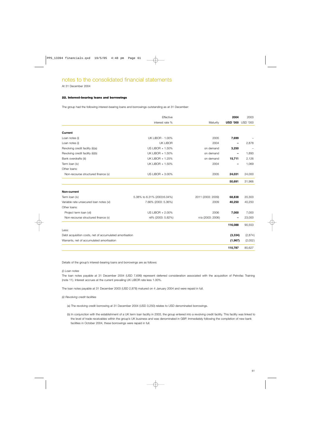At 31 December 2004

### **22. Interest-bearing loans and borrowings**

The group had the following interest-bearing loans and borrowings outstanding as at 31 December:

|                                                         | Effective                   |                   | 2004            | 2003            |
|---------------------------------------------------------|-----------------------------|-------------------|-----------------|-----------------|
|                                                         | interest rate %             | Maturity          | <b>USD '000</b> | <b>USD '000</b> |
|                                                         |                             |                   |                 |                 |
| <b>Current</b>                                          |                             |                   |                 |                 |
| Loan notes (i)                                          | <b>UK LIBOR - 1.00%</b>     | 2005              | 7,699           |                 |
| Loan notes (i)                                          | UK LIBOR                    | 2004              |                 | 2,878           |
| Revolving credit facility (ii)(a)                       | US LIBOR + 1.50%            | on demand         | 3,250           |                 |
| Revolving credit facility (ii)(b)                       | UK LIBOR + 1.50%            | on demand         |                 | 1,893           |
| Bank overdrafts (iii)                                   | UK LIBOR + 1.25%            | on demand         | 15,711          | 2,126           |
| Term Ioan (iv)                                          | UK LIBOR + 1.50%            | 2004              |                 | 1,069           |
| Other Ioans:                                            |                             |                   |                 |                 |
| Non-recourse structured finance (v)                     | US LIBOR + 3.00%            | 2005              | 24,031          | 24,000          |
|                                                         |                             |                   | 50,691          | 31,966          |
| Non-current                                             |                             |                   |                 |                 |
| Term Ioan (iv)                                          | 5.38% to 6.31% (2003:6.04%) | 2011 (2003: 2009) | 68,838          | 20,303          |
| Variable rate unsecured loan notes (vi)                 | 7.66% (2003: 5.36%)         | 2009              | 40,250          | 40,250          |
| Other Ioans:                                            |                             |                   |                 |                 |
| Project term Ioan (vii)                                 | US LIBOR + 2.00%            | 2006              | 7,000           | 7,000           |
| Non-recourse structured finance (v)                     | nil% (2003: 5.82%)          | n/a (2003: 2006)  |                 | 23,000          |
|                                                         |                             |                   | 116,088         | 90,553          |
| Less:                                                   |                             |                   |                 |                 |
| Debt acquisition costs, net of accumulated amortisation |                             |                   | (3,334)         | (2,874)         |
| Warrants, net of accumulated amortisation               |                             |                   | (1,967)         | (2,052)         |
|                                                         |                             |                   | 110,787         | 85,627          |

Details of the group's interest-bearing loans and borrowings are as follows:

### *(i) Loan notes*

The loan notes payable at 31 December 2004 (USD 7,699) represent deferred consideration associated with the acquisition of Petrofac Training (note 11). Interest accrues at the current prevailing UK LIBOR rate less 1.00%.

The loan notes payable at 31 December 2003 (USD 2,878) matured on 4 January 2004 and were repaid in full.

### *(ii) Revolving credit facilities*

(a) The revolving credit borrowing at 31 December 2004 (USD 3,250) relates to USD denominated borrowings.

(b) In conjunction with the establishment of a UK term loan facility in 2003, the group entered into a revolving credit facility. This facility was linked to the level of trade receivables within the group's UK business and was denominated in GBP. Immediately following the completion of new bank facilities in October 2004, these borrowings were repaid in full.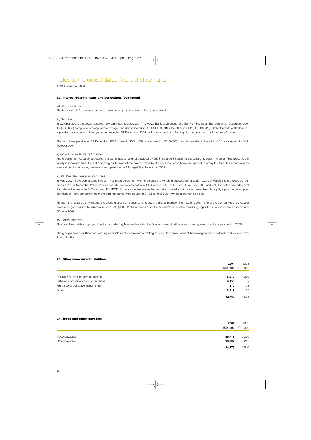At 31 December 2004

### **22. Interest-bearing loans and borrowings (continued)**

### *(iii) Bank overdrafts*

The bank overdrafts are secured by a floating charge over certain of the group's assets.

### *(iv) Term loans*

In October 2004, the group secured new term loan facilities with The Royal Bank of Scotland and Bank of Scotland. The loan at 31 December 2004 (USD 68,838) comprises two separate drawings, one denominated in USD (USD 35,310) the other in GBP (USD 33,528). Both elements of the loan are repayable over a period of five years commencing 31 December 2006 and are secured by a floating charge over certain of the group's assets.

The term loan payable at 31 December 2003 (current: USD 1,069; non-current USD 20,303), which was denominated in GBP, was repaid in full in October 2004.

### *(v) Non-recourse structured finance*

The group's non-recourse structured finance relates to funding provided by GE Structured Finance for the Ohanet project in Algeria. This project credit facility is repayable from the net operating cash flows of the project whereby 95% of these cash flows are applied to repay the loan. Based upon latest forecast production data, the loan is anticipated to be fully repaid by the end of 2005.

### *(vi) Variable rate unsecured loan notes*

In May 2002, the group entered into an investment agreement with 3i pursuant to which 3i subscribed for USD 40,250 of variable rate unsecured loan notes. Until 31 December 2004, the interest rate on the loan notes is 1.5% above US LIBOR. From 1 January 2005, and until the notes are redeemed, the rate will increase to 3.0% above US LIBOR. If the loan notes are redeemed at a time when 3i has not exercised its equity option, a redemption premium of 1.5% per annum from the date the notes were issued to 31 December 2004, will be required to be paid.

Through the issuance of warrants, the group granted an option to 3i to acquire shares representing 16.2% (2003: 13%) of the company's share capital, as so enlarged, subject to adjustment to 23.2% (2003: 20%) in the event of the 3i variable rate notes remaining unpaid. The warrants are realisable until 30 June 2009.

### *(vii) Project term loan*

This term loan relates to project funding provided by Mashreqbank for the Ohanet project in Algeria and is repayable by a single payment in 2006.

The group's credit facilities and debt agreements contain covenants relating to cash flow cover, cost of borrowings cover, dividends and various other financial ratios.

### **23. Other non-current liabilities**

|                                        | 2004   | 2003                     |
|----------------------------------------|--------|--------------------------|
|                                        |        | <b>USD '000 USD '000</b> |
| Provision for end-of-service benefits  | 5,912  | 4,399                    |
| Deferred consideration on acquisitions | 4,450  | $\overline{\phantom{m}}$ |
| Fair value of derivative instruments   | 210    | 23                       |
| Other                                  | 2,217  | 103                      |
|                                        | 12,789 | 4,525                    |

### **24. Trade and other payables**

|                | 2004    | 2003                     |
|----------------|---------|--------------------------|
|                |         | <b>USD '000 USD '000</b> |
| Trade payables | 95,776  | 110,300                  |
| Other payables | 19.097  | 216                      |
|                | 114,873 | 110,516                  |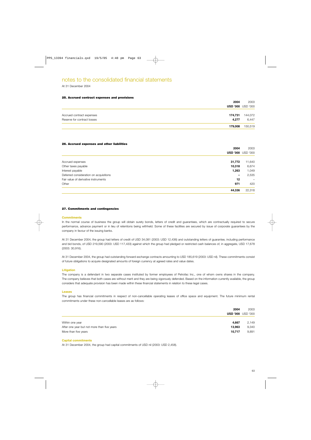At 31 December 2004

### **25. Accrued contract expenses and provisions**

|                             | 2004    | 2003                     |
|-----------------------------|---------|--------------------------|
|                             |         | <b>USD '000 USD '000</b> |
|                             |         |                          |
| Accrued contract expenses   | 174,731 | 144,072                  |
| Reserve for contract losses | 4.277   | 6,447                    |
|                             | 179,008 | 150,519                  |

### **26. Accrued expenses and other liabilities**

|                                        | 2004            | 2003                     |
|----------------------------------------|-----------------|--------------------------|
|                                        | <b>USD '000</b> | <b>USD '000</b>          |
| Accrued expenses                       | 31,772          | 11,640                   |
| Other taxes payable                    | 10,318          | 6,674                    |
| Interest payable                       | 1,263           | 1,049                    |
| Deferred consideration on acquisitions | $\qquad \qquad$ | 2,535                    |
| Fair value of derivative instruments   | 12              | $\overline{\phantom{m}}$ |
| Other                                  | 971             | 420                      |
|                                        | 44,336          | 22,318                   |

### **27. Commitments and contingencies**

### **Commitments**

In the normal course of business the group will obtain surety bonds, letters of credit and guarantees, which are contractually required to secure performance, advance payment or in lieu of retentions being withheld. Some of these facilities are secured by issue of corporate guarantees by the company in favour of the issuing banks.

At 31 December 2004, the group had letters of credit of USD 34,081 (2003: USD 12,436) and outstanding letters of guarantee, including performance and bid bonds, of USD 219,590 (2003: USD 117,433) against which the group had pledged or restricted cash balances of, in aggregate, USD 17,678 (2003: 30,916).

At 31 December 2004, the group had outstanding forward exchange contracts amounting to USD 185,619 (2003: USD nil). These commitments consist of future obligations to acquire designated amounts of foreign currency at agreed rates and value dates.

### **Litigation**

The company is a defendant in two separate cases instituted by former employees of Petrofac Inc., one of whom owns shares in the company. The company believes that both cases are without merit and they are being vigorously defended. Based on the information currently available, the group considers that adequate provision has been made within these financial statements in relation to these legal cases.

### **Leases**

The group has financial commitments in respect of non-cancellable operating leases of office space and equipment. The future minimum rental commitments under these non-cancellable leases are as follows:

|                                             | 2004   | 2003                     |
|---------------------------------------------|--------|--------------------------|
|                                             |        | <b>USD '000 USD '000</b> |
| Within one year                             | 4,667  | 2,149                    |
| After one year but not more than five years | 13,963 | 9,340                    |
| More than five years                        | 10,717 | 9,891                    |

### **Capital commitments**

At 31 December 2004, the group had capital commitments of USD nil (2003: USD 2,458).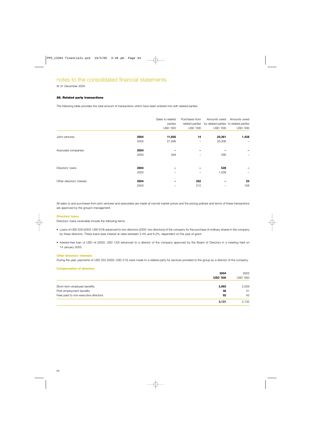At 31 December 2004

### **28. Related party transactions**

The following table provides the total amount of transactions which have been entered into with related parties:

|                                                   | Sales to related<br>parties<br><b>USD '000</b> | Purchases from<br>related parties<br><b>USD '000</b> | Amounts owed<br>by related parties to related parties<br><b>USD '000</b> | Amounts owed<br><b>USD '000</b> |
|---------------------------------------------------|------------------------------------------------|------------------------------------------------------|--------------------------------------------------------------------------|---------------------------------|
| 2004<br>Joint ventures<br>2003                    | 11,656<br>27,296                               | 14                                                   | 20,361<br>20,306                                                         | 1,428                           |
| Associate companies<br>2004<br>2003               | 349                                            |                                                      | 290                                                                      |                                 |
| Directors' loans<br>2004                          |                                                |                                                      | 528                                                                      |                                 |
| 2003<br>Other directors' interest<br>2004<br>2003 |                                                | 252<br>212                                           | 1,039                                                                    | 25<br>108                       |

All sales to and purchases from joint ventures and associates are made at normal market prices and the pricing policies and terms of these transactions are approved by the group's management.

### **Directors' loans**

Directors' loans receivable include the following items:

- Loans of USD 528 (2003: USD 919) advanced to two directors (2003: two directors) of the company for the purchase of ordinary shares in the company by these directors. These loans bear interest at rates between 3.4% and 6.2%, dependent on the year of grant.
- Interest-free loan of USD nil (2003: USD 120) advanced to a director of the company approved by the Board of Directors in a meeting held on 14 January 2003.

### **Other directors' interests**

During the year, payments of USD 252 (2003: USD 212) were made to a related party for services provided to the group by a director of the company.

| <b>Compensation of directors</b>     |                 |                 |
|--------------------------------------|-----------------|-----------------|
|                                      | 2004            | 2003            |
|                                      | <b>USD '000</b> | <b>USD '000</b> |
| Short-term employee benefits         | 2,993           | 2,059           |
| Post employment benefits             | 46              | 31              |
| Fees paid to non-executive directors | 92              | 45              |
|                                      | 3,131           | 2,135           |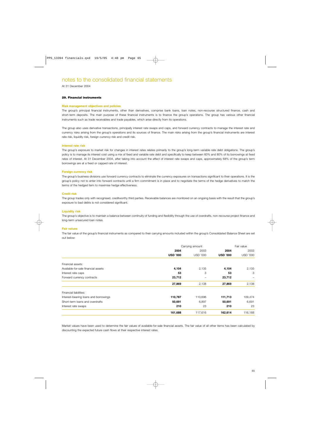At 31 December 2004

### **29. Financial instruments**

### **Risk management objectives and policies**

The group's principal financial instruments, other than derivatives, comprise bank loans, loan notes, non-recourse structured finance, cash and short-term deposits. The main purpose of these financial instruments is to finance the group's operations. The group has various other financial instruments such as trade receivables and trade payables, which arise directly from its operations.

The group also uses derivative transactions, principally interest rate swaps and caps, and forward currency contracts to manage the interest rate and currency risks arising from the group's operations and its sources of finance. The main risks arising from the group's financial instruments are interest rate risk, liquidity risk, foreign currency risk and credit risk.

### **Interest rate risk**

The group's exposure to market risk for changes in interest rates relates primarily to the group's long-term variable rate debt obligations. The group's policy is to manage its interest cost using a mix of fixed and variable rate debt and specifically to keep between 60% and 80% of its borrowings at fixed rates of interest. At 31 December 2004, after taking into account the effect of interest rate swaps and caps, approximately 68% of the group's term borrowings are at a fixed or capped rate of interest.

### **Foreign currency risk**

The group's business divisions use forward currency contracts to eliminate the currency exposures on transactions significant to their operations. It is the group's policy not to enter into forward contracts until a firm commitment is in place and to negotiate the terms of the hedge derivatives to match the terms of the hedged item to maximise hedge effectiveness.

### **Credit risk**

The group trades only with recognised, creditworthy third parties. Receivable balances are monitored on an ongoing basis with the result that the group's exposure to bad debts is not considered significant.

### **Liquidity risk**

The group's objective is to maintain a balance between continuity of funding and flexibility through the use of overdrafts, non-recourse project finance and long-term unsecured loan notes.

### **Fair values**

The fair value of the group's financial instruments as compared to their carrying amounts included within the group's Consolidated Balance Sheet are set out below:

|                                       | Carrying amount |                 |                 | Fair value               |
|---------------------------------------|-----------------|-----------------|-----------------|--------------------------|
|                                       | 2004            | 2003            | 2004            | 2003                     |
|                                       | <b>USD '000</b> | <b>USD '000</b> | <b>USD '000</b> | <b>USD '000</b>          |
| Financial assets:                     |                 |                 |                 |                          |
| Available-for-sale financial assets   | 4,104           | 2,135           | 4,104           | 2,135                    |
| Interest rate caps                    | 53              | 3               | 53              | 3                        |
| Forward currency contracts            | 23,712          |                 | 23,712          | $\overline{\phantom{0}}$ |
|                                       | 27,869          | 2,138           | 27,869          | 2,138                    |
| Financial liabilities:                |                 |                 |                 |                          |
| Interest-bearing loans and borrowings | 110,787         | 110,696         | 111,713         | 109,474                  |
| Short-term loans and overdrafts       | 50,691          | 6,897           | 50,691          | 6,691                    |
| Interest rate swaps                   | 210             | 23              | 210             | 23                       |
|                                       | 161,688         | 117,616         | 162,614         | 116,188                  |

Market values have been used to determine the fair values of available-for-sale financial assets. The fair value of all other items has been calculated by discounting the expected future cash flows at their respective interest rates.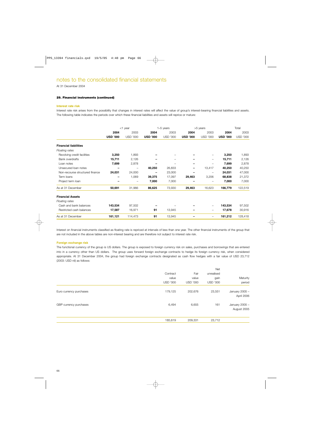### At 31 December 2004

### **29. Financial instruments (continued)**

### **Interest rate risk**

Interest rate risk arises from the possibility that changes in interest rates will affect the value of group's interest-bearing financial liabilities and assets. The following table indicates the periods over which these financial liabilities and assets will reprice or mature:

|                                 | <1 year         |                 | $1-5$ years     |                 |                          | >5 years                        |                 | Total           |
|---------------------------------|-----------------|-----------------|-----------------|-----------------|--------------------------|---------------------------------|-----------------|-----------------|
|                                 | 2004            | 2003            | 2004            | 2003            | 2004                     | 2003                            | 2004            | 2003            |
|                                 | <b>USD '000</b> | <b>USD '000</b> | <b>USD '000</b> | <b>USD '000</b> | <b>USD '000</b>          | <b>USD '000</b>                 | <b>USD '000</b> | <b>USD '000</b> |
| <b>Financial liabilities</b>    |                 |                 |                 |                 |                          |                                 |                 |                 |
| Floating rates                  |                 |                 |                 |                 |                          |                                 |                 |                 |
| Revolving credit facilities     | 3,250           | 1,893           |                 |                 |                          |                                 | 3,250           | 1,893           |
| <b>Bank overdrafts</b>          | 15,711          | 2,126           |                 |                 |                          | $\overbrace{\phantom{1232211}}$ | 15,711          | 2,126           |
| Loan notes                      | 7,699           | 2,878           |                 |                 | $\overline{\phantom{m}}$ | -                               | 7,699           | 2,878           |
| Unsecured Ioan notes            |                 | -               | 40,250          | 26,833          | $\overline{\phantom{m}}$ | 13,417                          | 40,250          | 40,250          |
| Non-recourse structured finance | 24,031          | 24,000          |                 | 23,000          |                          | -                               | 24,031          | 47,000          |
| Term loans                      |                 | 1,069           | 39,375          | 17,097          | 29,463                   | 3,206                           | 68,838          | 21,372          |
| Project term loan               |                 | -               | 7,000           | 7,000           |                          | -                               | 7,000           | 7,000           |
| As at 31 December               | 50,691          | 31,966          | 86,625          | 73,930          | 29,463                   | 16,623                          | 166,779         | 122,519         |
| <b>Financial Assets</b>         |                 |                 |                 |                 |                          |                                 |                 |                 |
| Floating rates                  |                 |                 |                 |                 |                          |                                 |                 |                 |
| Cash and bank balances          | 143,534         | 97,502          |                 |                 |                          | $\overline{\phantom{0}}$        | 143,534         | 97,502          |
| Restricted cash balances        | 17,587          | 16,971          | 91              | 13,945          | $\qquad \qquad$          | $\overline{\phantom{0}}$        | 17,678          | 30,916          |
| As at 31 December               | 161,121         | 114,473         | 91              | 13,945          |                          | $\qquad \qquad -$               | 161,212         | 128,418         |

Interest on financial instruments classified as floating rate is repriced at intervals of less than one year. The other financial instruments of the group that are not included in the above tables are non-interest bearing and are therefore not subject to interest rate risk.

### **Foreign exchange risk**

The functional currency of the group is US dollars. The group is exposed to foreign currency risk on sales, purchases and borrowings that are entered into in a currency other than US dollars. The group uses forward foreign exchange contracts to hedge its foreign currency risk, when considered appropriate. At 31 December 2004, the group had foreign exchange contracts designated as cash flow hedges with a fair value of USD 23,712 (2003: USD nil) as follows:

|                         |                 |                 | <b>Net</b><br>unrealised |                               |
|-------------------------|-----------------|-----------------|--------------------------|-------------------------------|
|                         | Contract        | Fair            |                          |                               |
|                         | value           | value           | gain                     | Maturity                      |
|                         | <b>USD '000</b> | <b>USD '000</b> | <b>USD '000</b>          | period                        |
| Euro currency purchases | 179,125         | 202,676         | 23,551                   | January 2005 -<br>April 2006  |
| GBP currency purchases  | 6,494           | 6,655           | 161                      | January 2005 -<br>August 2005 |
|                         | 185,619         | 209,331         | 23,712                   |                               |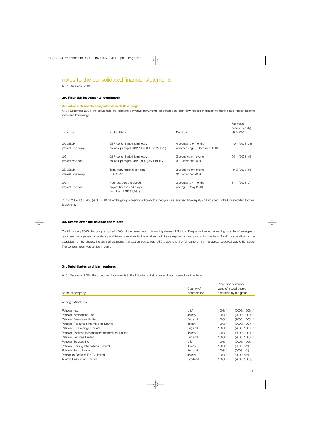At 31 December 2004

### **29. Financial instruments (continued)**

### **Derivative instruments designated as cash flow hedges**

At 31 December 2004, the group held the following derivative instruments, designated as cash flow hedges in relation to floating rate interest-bearing loans and borrowings:

| Instrument                     | Hedged item                                                              | Duration                                            | Fair value<br>asset / (liability)<br>USD '000 |
|--------------------------------|--------------------------------------------------------------------------|-----------------------------------------------------|-----------------------------------------------|
| UK LIBOR<br>interest rate swap | GBP denominated term loan,<br>notional principal GBP 11,400 (USD 22,025) | 4 years and 9 months<br>commencing 31 December 2004 | (2003:23)<br>(70)                             |
| UK                             | GBP denominated term loan.                                               | 3 years, commencing                                 | $(2003: \text{nil})$<br>50                    |
| interest rate cap              | notional principal GBP 9,900 (USD 19,127)                                | 31 December 2004                                    |                                               |
| US LIBOR                       | Term Ioan, notional principal                                            | 3 years, commencing                                 | (140) (2003: nil)                             |
| interest rate swap             | USD 35,310                                                               | 31 December 2004                                    |                                               |
| UK                             | Non-recourse structured                                                  | 3 years and 4 months                                | 3<br>(2003:3)                                 |
| interest rate cap              | project finance and project<br>term Ioan (USD 31,031)                    | ending 31 May 2006                                  |                                               |

During 2004, USD 486 (2003: USD nil) of the group's designated cash flow hedges was removed from equity and included in the Consolidated Income Statement.

### **30. Events after the balance sheet date**

On 28 January 2005, the group acquired 100% of the issued and outstanding shares of Rubicon Response Limited, a leading provider of emergency response management consultancy and training services to the upstream oil & gas exploration and production markets. Total consideration for the acquisition of the shares, inclusive of estimated transaction costs, was USD 6,326 and the fair value of the net assets acquired was USD 2,565. The consideration was settled in cash.

### **31. Subsidiaries and joint ventures**

At 31 December 2004, the group had investments in the following subsidiaries and incorporated joint ventures:

| Name of company                                      |                             | Proportion of nominal<br>value of issued shares<br>controlled by the group |                              |
|------------------------------------------------------|-----------------------------|----------------------------------------------------------------------------|------------------------------|
|                                                      | Country of<br>incorporation |                                                                            |                              |
|                                                      |                             |                                                                            |                              |
| Petrofac Inc.                                        | <b>USA</b>                  | 100% *                                                                     | $(2003:100\%$ <sup>*</sup> ) |
| Petrofac International Ltd                           | Jersey                      | $100\%$ *                                                                  | $(2003:100\%$ <sup>*</sup> ) |
| Petrofac Resources Limited                           | England                     | 100% *                                                                     | $(2003:100\%$ <sup>*</sup> ) |
| Petrofac Resources International Limited             | Jersey                      | 100% *                                                                     | $(2003:100\%$ <sup>*</sup> ) |
| Petrofac UK Holdings Limited                         | England                     | 100% *                                                                     | $(2003:100\%$ <sup>*</sup> ) |
| Petrofac Facilities Management International Limited | Jersey                      | 100% *                                                                     | $(2003:100\%$ <sup>*</sup> ) |
| Petrofac Services Limited                            | England                     | 100% *                                                                     | $(2003:100\%$ <sup>*</sup> ) |
| Petrofac Services Inc                                | <b>USA</b>                  | 100% *                                                                     | $(2003:100\%$ <sup>*</sup> ) |
| Petrofac Training International Limited              | Jersey                      | 100% *                                                                     | (2003: n/a)                  |
| Petrofac Sahka Limited                               | England                     | 100% *                                                                     | (2003: n/a)                  |
| Petroleum Facilities E & C Limited                   | Jersey                      | 100% *                                                                     | (2003: n/a)                  |
| Atlantic Resourcing Limited                          | Scotland                    | 100%                                                                       | $(2003:100\%)$               |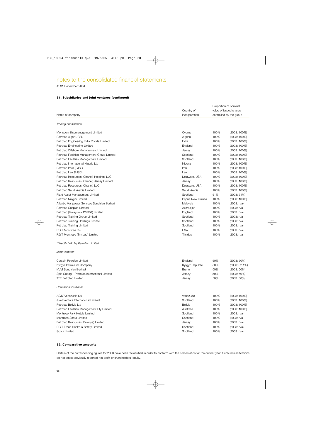At 31 December 2004

### **31. Subsidiaries and joint ventures (continued)**

|                                              |                  | Proportion of nominal<br>value of issued shares |                         |  |
|----------------------------------------------|------------------|-------------------------------------------------|-------------------------|--|
|                                              | Country of       |                                                 |                         |  |
| Name of company                              | incorporation    |                                                 | controlled by the group |  |
|                                              |                  |                                                 |                         |  |
| Trading subsidiaries                         |                  |                                                 |                         |  |
| Monsoon Shipmanagement Limited               | Cyprus           | 100%                                            | $(2003: 100\%)$         |  |
| Petrofac Alger URAL                          | Algeria          | 100%                                            | (2003: 100%)            |  |
| Petrofac Engineering India Private Limited   | India            | 100%                                            | $(2003: 100\%)$         |  |
| Petrofac Engineering Limited                 | England          | 100%                                            | (2003: 100%)            |  |
| Petrofac Offshore Management Limited         | Jersey           | 100%                                            | $(2003: 100\%)$         |  |
| Petrofac Facilities Management Group Limited | Scotland         | 100%                                            | $(2003: 100\%)$         |  |
| Petrofac Facilities Management Limited       | Scotland         | 100%                                            | $(2003: 100\%)$         |  |
| Petrofac International Nigeria Ltd           | Nigeria          | 100%                                            | $(2003: 100\%)$         |  |
| Petrofac Pars (PJSC)                         | Iran             | 100%                                            | $(2003: 100\%)$         |  |
| Petrofac Iran (PJSC)                         | Iran             | 100%                                            | $(2003: 100\%)$         |  |
| Petrofac Resources (Ohanet) Holdings LLC     | Delaware, USA    | 100%                                            | $(2003: 100\%)$         |  |
| Petrofac Resources (Ohanet) Jersey Limited   | Jersey           | 100%                                            | $(2003: 100\%)$         |  |
| Petrofac Resources (Ohanet) LLC              | Delaware, USA    | 100%                                            | $(2003: 100\%)$         |  |
| Petrofac Saudi Arabia Limited                | Saudi Arabia     | 100%                                            | $(2003: 100\%)$         |  |
| Plant Asset Management Limited               | Scotland         | 51%                                             | $(2003: 51\%)$          |  |
| Petrofac Nuigini Limited                     | Papua New Guinea | 100%                                            | $(2003: 100\%)$         |  |
| Atlantic Manpower Services Sendirian Berhad  | Malaysia         | 100%                                            | (2003: n/a)             |  |
| Petrofac Caspian Limited                     | Azerbaijan       | 100%                                            | (2003: n/a)             |  |
| Petrofac (Malaysia - PM304) Limited          | England          | 100%                                            | (2003: n/a)             |  |
| Petrofac Training Group Limited              | Scotland         | 100%                                            | (2003: n/a)             |  |
| Petrofac Training Holdings Limited           | Scotland         | 100%                                            | (2003: n/a)             |  |
| Petrofac Training Limited                    | Scotland         | 100%                                            | (2003: n/a)             |  |
| RGIT Montrose Inc.                           | <b>USA</b>       | 100%                                            | (2003: n/a)             |  |
| RGIT Montrose (Trinidad) Limited             | Trinidad         | 100%                                            | (2003: n/a)             |  |
|                                              |                  |                                                 |                         |  |
| *Directly held by Petrofac Limited           |                  |                                                 |                         |  |
| Joint ventures                               |                  |                                                 |                         |  |
| Costain Petrofac Limited                     | England          | 50%                                             | $(2003:50\%)$           |  |
| Kyrgyz Petroleum Company                     | Kyrgyz Republic  | 50%                                             | (2003: 32.1%)           |  |
| MJVI Sendirian Berhad                        | Brunei           | 50%                                             | $(2003:50\%)$           |  |
| Spie Capag - Petrofac International Limited  | Jersey           | 50%                                             | $(2003:50\%)$           |  |
| <b>TTE Petrofac Limited</b>                  | Jersey           | 50%                                             | $(2003:50\%)$           |  |
| Dormant subsidiaries                         |                  |                                                 |                         |  |
| ASJV Venezuela SA                            | Venezuela        | 100%                                            | $(2003: 100\%)$         |  |
| Joint Venture International Limited          | Scotland         | 100%                                            | $(2003: 100\%)$         |  |
| Petrofac Bolivia Ltd                         | Bolivia          | 100%                                            | $(2003: 100\%)$         |  |
| Petrofac Facilities Management Pty Limited   | Australia        | 100%                                            | $(2003: 100\%)$         |  |
| Montrose Park Hotels Limited                 | Scotland         | 100%                                            | (2003: n/a)             |  |
| Montrose Scota Limited                       | Scotland         | 100%                                            | (2003: n/a)             |  |
| Petrofac Resources (Palmyra) Limited         | Jersey           | 100%                                            | (2003: n/a)             |  |
| RGIT Ethos Health & Safety Limited           | Scotland         | 100%                                            | (2003: n/a)             |  |
| Scota Limited                                | Scotland         | 100%                                            | (2003: n/a)             |  |

### **32. Comparative amounts**

Certain of the corresponding figures for 2003 have been reclassified in order to conform with the presentation for the current year. Such reclassifications do not affect previously reported net profit or shareholders' equity.